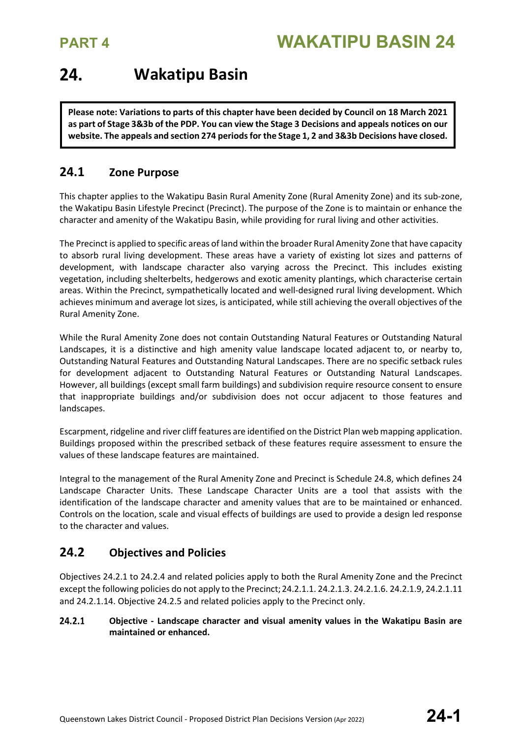### 24. **Wakatipu Basin**

**Please note: Variations to parts of this chapter have been decided by Council on 18 March 2021 as part of Stage 3&3b of the PDP. You can view the Stage 3 Decisions and appeals notices on our website. The appeals and section 274 periods for the Stage 1, 2 and 3&3b Decisions have closed.**

### **24.1 Zone Purpose**

This chapter applies to the Wakatipu Basin Rural Amenity Zone (Rural Amenity Zone) and its sub-zone, the Wakatipu Basin Lifestyle Precinct (Precinct). The purpose of the Zone is to maintain or enhance the character and amenity of the Wakatipu Basin, while providing for rural living and other activities.

The Precinct is applied to specific areas of land within the broader Rural Amenity Zone that have capacity to absorb rural living development. These areas have a variety of existing lot sizes and patterns of development, with landscape character also varying across the Precinct. This includes existing vegetation, including shelterbelts, hedgerows and exotic amenity plantings, which characterise certain areas. Within the Precinct, sympathetically located and well-designed rural living development. Which achieves minimum and average lot sizes, is anticipated, while still achieving the overall objectives of the Rural Amenity Zone.

While the Rural Amenity Zone does not contain Outstanding Natural Features or Outstanding Natural Landscapes, it is a distinctive and high amenity value landscape located adjacent to, or nearby to, Outstanding Natural Features and Outstanding Natural Landscapes. There are no specific setback rules for development adjacent to Outstanding Natural Features or Outstanding Natural Landscapes. However, all buildings (except small farm buildings) and subdivision require resource consent to ensure that inappropriate buildings and/or subdivision does not occur adjacent to those features and landscapes.

Escarpment, ridgeline and river cliff features are identified on the District Plan web mapping application. Buildings proposed within the prescribed setback of these features require assessment to ensure the values of these landscape features are maintained.

Integral to the management of the Rural Amenity Zone and Precinct is Schedule 24.8, which defines 24 Landscape Character Units. These Landscape Character Units are a tool that assists with the identification of the landscape character and amenity values that are to be maintained or enhanced. Controls on the location, scale and visual effects of buildings are used to provide a design led response to the character and values.

### **24.2 Objectives and Policies**

Objectives 24.2.1 to 24.2.4 and related policies apply to both the Rural Amenity Zone and the Precinct except the following policies do not apply to the Precinct;24.2.1.1. 24.2.1.3. 24.2.1.6. 24.2.1.9, 24.2.1.11 and 24.2.1.14. Objective 24.2.5 and related policies apply to the Precinct only.

### 24.2.1 **Objective - Landscape character and visual amenity values in the Wakatipu Basin are maintained or enhanced.**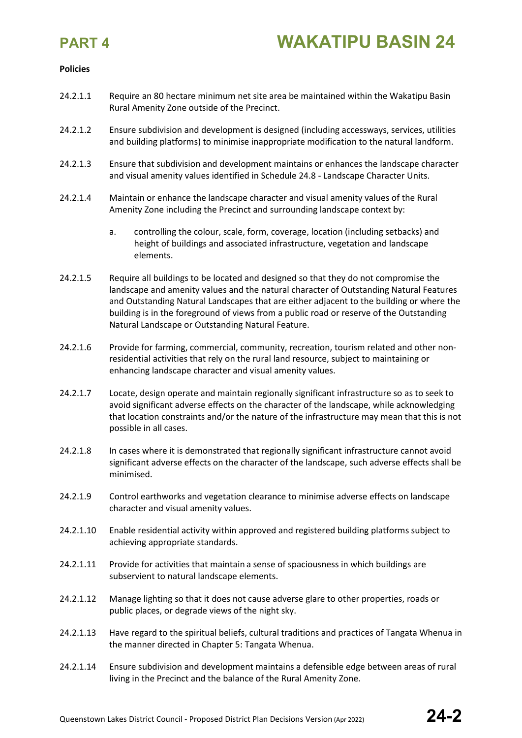

### **Policies**

- 24.2.1.1 Require an 80 hectare minimum net site area be maintained within the Wakatipu Basin Rural Amenity Zone outside of the Precinct.
- 24.2.1.2 Ensure subdivision and development is designed (including accessways, services, utilities and building platforms) to minimise inappropriate modification to the natural landform.
- 24.2.1.3 Ensure that subdivision and development maintains or enhances the landscape character and visual amenity values identified in Schedule 24.8 - Landscape Character Units.
- 24.2.1.4 Maintain or enhance the landscape character and visual amenity values of the Rural Amenity Zone including the Precinct and surrounding landscape context by:
	- a. controlling the colour, scale, form, coverage, location (including setbacks) and height of buildings and associated infrastructure, vegetation and landscape elements.
- 24.2.1.5 Require all buildings to be located and designed so that they do not compromise the landscape and amenity values and the natural character of Outstanding Natural Features and Outstanding Natural Landscapes that are either adjacent to the building or where the building is in the foreground of views from a public road or reserve of the Outstanding Natural Landscape or Outstanding Natural Feature.
- 24.2.1.6 Provide for farming, commercial, community, recreation, tourism related and other nonresidential activities that rely on the rural land resource, subject to maintaining or enhancing landscape character and visual amenity values.
- 24.2.1.7 Locate, design operate and maintain regionally significant infrastructure so as to seek to avoid significant adverse effects on the character of the landscape, while acknowledging that location constraints and/or the nature of the infrastructure may mean that this is not possible in all cases.
- 24.2.1.8 In cases where it is demonstrated that regionally significant infrastructure cannot avoid significant adverse effects on the character of the landscape, such adverse effects shall be minimised.
- 24.2.1.9 Control earthworks and vegetation clearance to minimise adverse effects on landscape character and visual amenity values.
- 24.2.1.10 Enable residential activity within approved and registered building platforms subject to achieving appropriate standards.
- 24.2.1.11 Provide for activities that maintain a sense of spaciousness in which buildings are subservient to natural landscape elements.
- 24.2.1.12 Manage lighting so that it does not cause adverse glare to other properties, roads or public places, or degrade views of the night sky.
- 24.2.1.13 Have regard to the spiritual beliefs, cultural traditions and practices of Tangata Whenua in the manner directed in Chapter 5: Tangata Whenua.
- 24.2.1.14 Ensure subdivision and development maintains a defensible edge between areas of rural living in the Precinct and the balance of the Rural Amenity Zone.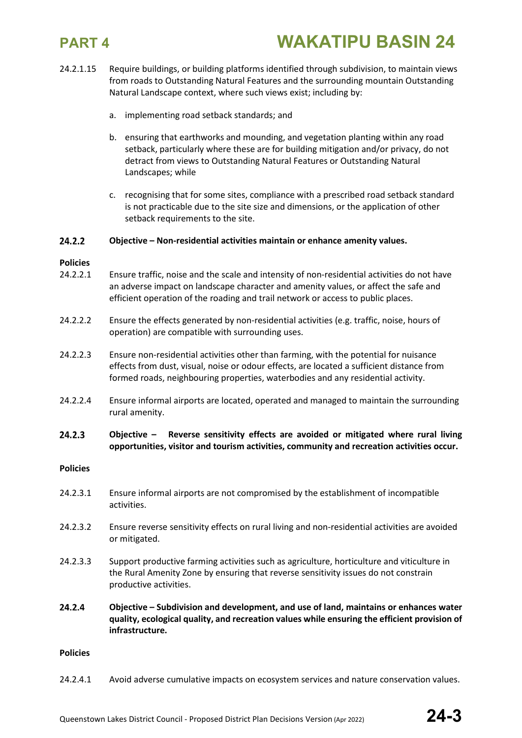

- 24.2.1.15 Require buildings, or building platforms identified through subdivision, to maintain views from roads to Outstanding Natural Features and the surrounding mountain Outstanding Natural Landscape context, where such views exist; including by:
	- a. implementing road setback standards; and
	- b. ensuring that earthworks and mounding, and vegetation planting within any road setback, particularly where these are for building mitigation and/or privacy, do not detract from views to Outstanding Natural Features or Outstanding Natural Landscapes; while
	- c. recognising that for some sites, compliance with a prescribed road setback standard is not practicable due to the site size and dimensions, or the application of other setback requirements to the site.

### 24.2.2 **Objective – Non-residential activities maintain or enhance amenity values.**

### **Policies**

- 24.2.2.1 Ensure traffic, noise and the scale and intensity of non-residential activities do not have an adverse impact on landscape character and amenity values, or affect the safe and efficient operation of the roading and trail network or access to public places.
- 24.2.2.2 Ensure the effects generated by non-residential activities (e.g. traffic, noise, hours of operation) are compatible with surrounding uses.
- 24.2.2.3 Ensure non-residential activities other than farming, with the potential for nuisance effects from dust, visual, noise or odour effects, are located a sufficient distance from formed roads, neighbouring properties, waterbodies and any residential activity.
- 24.2.2.4 Ensure informal airports are located, operated and managed to maintain the surrounding rural amenity.
- 24.2.3 **Objective – Reverse sensitivity effects are avoided or mitigated where rural living opportunities, visitor and tourism activities, community and recreation activities occur.**

### **Policies**

- 24.2.3.1 Ensure informal airports are not compromised by the establishment of incompatible activities.
- 24.2.3.2 Ensure reverse sensitivity effects on rural living and non-residential activities are avoided or mitigated.
- 24.2.3.3 Support productive farming activities such as agriculture, horticulture and viticulture in the Rural Amenity Zone by ensuring that reverse sensitivity issues do not constrain productive activities.
- 24.2.4 **Objective – Subdivision and development, and use of land, maintains or enhances water quality, ecological quality, and recreation values while ensuring the efficient provision of infrastructure.**

### **Policies**

24.2.4.1 Avoid adverse cumulative impacts on ecosystem services and nature conservation values.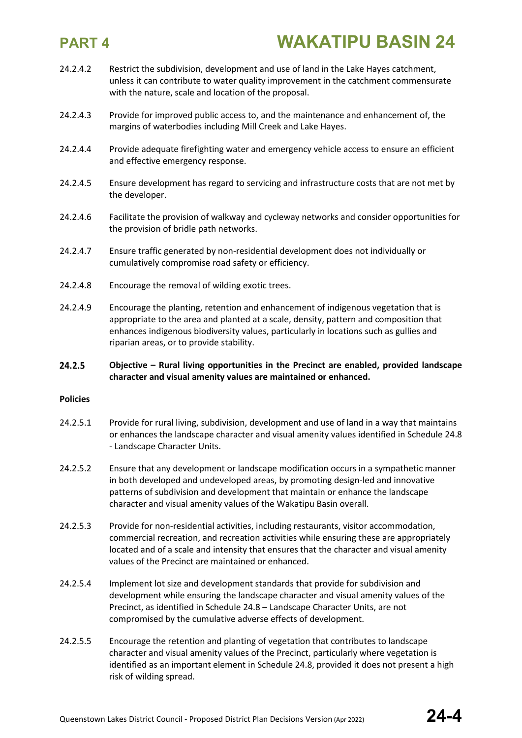- 24.2.4.2 Restrict the subdivision, development and use of land in the Lake Hayes catchment, unless it can contribute to water quality improvement in the catchment commensurate with the nature, scale and location of the proposal.
- 24.2.4.3 Provide for improved public access to, and the maintenance and enhancement of, the margins of waterbodies including Mill Creek and Lake Hayes.
- 24.2.4.4 Provide adequate firefighting water and emergency vehicle access to ensure an efficient and effective emergency response.
- 24.2.4.5 Ensure development has regard to servicing and infrastructure costs that are not met by the developer.
- 24.2.4.6 Facilitate the provision of walkway and cycleway networks and consider opportunities for the provision of bridle path networks.
- 24.2.4.7 Ensure traffic generated by non-residential development does not individually or cumulatively compromise road safety or efficiency.
- 24.2.4.8 Encourage the removal of wilding exotic trees.
- 24.2.4.9 Encourage the planting, retention and enhancement of indigenous vegetation that is appropriate to the area and planted at a scale, density, pattern and composition that enhances indigenous biodiversity values, particularly in locations such as gullies and riparian areas, or to provide stability.

### 24.2.5 **Objective – Rural living opportunities in the Precinct are enabled, provided landscape character and visual amenity values are maintained or enhanced.**

### **Policies**

- 24.2.5.1 Provide for rural living, subdivision, development and use of land in a way that maintains or enhances the landscape character and visual amenity values identified in Schedule 24.8 - Landscape Character Units.
- 24.2.5.2 Ensure that any development or landscape modification occurs in a sympathetic manner in both developed and undeveloped areas, by promoting design-led and innovative patterns of subdivision and development that maintain or enhance the landscape character and visual amenity values of the Wakatipu Basin overall.
- 24.2.5.3 Provide for non-residential activities, including restaurants, visitor accommodation, commercial recreation, and recreation activities while ensuring these are appropriately located and of a scale and intensity that ensures that the character and visual amenity values of the Precinct are maintained or enhanced.
- 24.2.5.4 Implement lot size and development standards that provide for subdivision and development while ensuring the landscape character and visual amenity values of the Precinct, as identified in Schedule 24.8 – Landscape Character Units, are not compromised by the cumulative adverse effects of development.
- 24.2.5.5 Encourage the retention and planting of vegetation that contributes to landscape character and visual amenity values of the Precinct, particularly where vegetation is identified as an important element in Schedule 24.8, provided it does not present a high risk of wilding spread.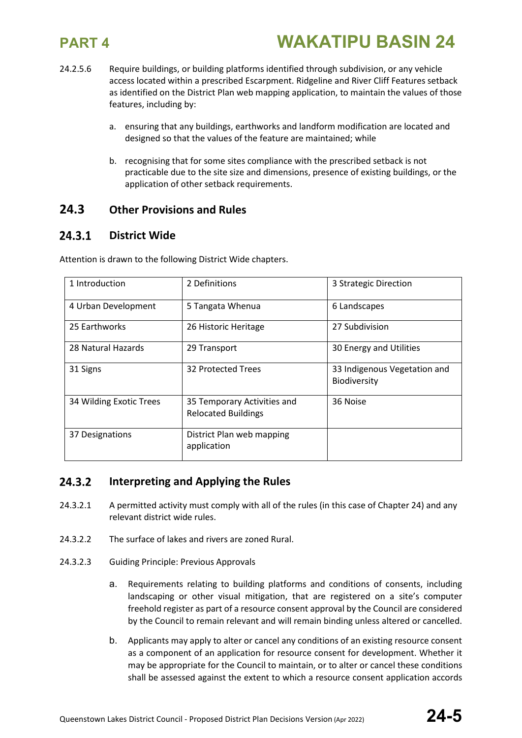

- 24.2.5.6 Require buildings, or building platforms identified through subdivision, or any vehicle access located within a prescribed Escarpment. Ridgeline and River Cliff Features setback as identified on the District Plan web mapping application, to maintain the values of those features, including by:
	- a. ensuring that any buildings, earthworks and landform modification are located and designed so that the values of the feature are maintained; while
	- b. recognising that for some sites compliance with the prescribed setback is not practicable due to the site size and dimensions, presence of existing buildings, or the application of other setback requirements.

### **24.3 Other Provisions and Rules**

### 24.3.1 **District Wide**

| 1 Introduction          | 2 Definitions                                             | 3 Strategic Direction                        |
|-------------------------|-----------------------------------------------------------|----------------------------------------------|
| 4 Urban Development     | 5 Tangata Whenua                                          | 6 Landscapes                                 |
| 25 Earthworks           | 26 Historic Heritage                                      | 27 Subdivision                               |
| 28 Natural Hazards      | 29 Transport                                              | 30 Energy and Utilities                      |
| 31 Signs                | 32 Protected Trees                                        | 33 Indigenous Vegetation and<br>Biodiversity |
| 34 Wilding Exotic Trees | 35 Temporary Activities and<br><b>Relocated Buildings</b> | 36 Noise                                     |
| 37 Designations         | District Plan web mapping<br>application                  |                                              |

Attention is drawn to the following District Wide chapters.

### 24.3.2 **Interpreting and Applying the Rules**

- 24.3.2.1 A permitted activity must comply with all of the rules (in this case of Chapter 24) and any relevant district wide rules.
- 24.3.2.2 The surface of lakes and rivers are zoned Rural.
- 24.3.2.3 Guiding Principle: Previous Approvals
	- a. Requirements relating to building platforms and conditions of consents, including landscaping or other visual mitigation, that are registered on a site's computer freehold register as part of a resource consent approval by the Council are considered by the Council to remain relevant and will remain binding unless altered or cancelled.
	- b. Applicants may apply to alter or cancel any conditions of an existing resource consent as a component of an application for resource consent for development. Whether it may be appropriate for the Council to maintain, or to alter or cancel these conditions shall be assessed against the extent to which a resource consent application accords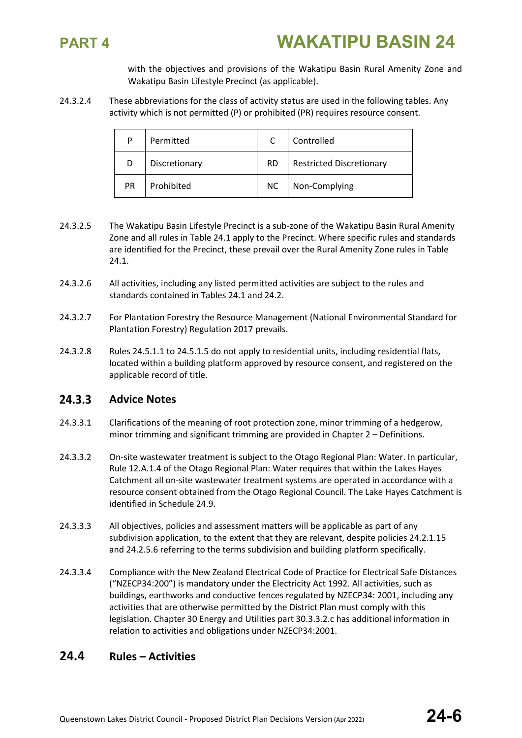

with the objectives and provisions of the Wakatipu Basin Rural Amenity Zone and Wakatipu Basin Lifestyle Precinct (as applicable).

24.3.2.4 These abbreviations for the class of activity status are used in the following tables. Any activity which is not permitted (P) or prohibited (PR) requires resource consent.

| P         | Permitted     |           | Controlled                      |
|-----------|---------------|-----------|---------------------------------|
| D         | Discretionary | <b>RD</b> | <b>Restricted Discretionary</b> |
| <b>PR</b> | Prohibited    | <b>NC</b> | Non-Complying                   |

- 24.3.2.5 The Wakatipu Basin Lifestyle Precinct is a sub-zone of the Wakatipu Basin Rural Amenity Zone and all rules in Table 24.1 apply to the Precinct. Where specific rules and standards are identified for the Precinct, these prevail over the Rural Amenity Zone rules in Table 24.1.
- 24.3.2.6 All activities, including any listed permitted activities are subject to the rules and standards contained in Tables 24.1 and 24.2.
- 24.3.2.7 For Plantation Forestry the Resource Management (National Environmental Standard for Plantation Forestry) Regulation 2017 prevails.
- 24.3.2.8 Rules 24.5.1.1 to 24.5.1.5 do not apply to residential units, including residential flats, located within a building platform approved by resource consent, and registered on the applicable record of title.

### $24.3.3$ **Advice Notes**

- 24.3.3.1 Clarifications of the meaning of root protection zone, minor trimming of a hedgerow, minor trimming and significant trimming are provided in Chapter 2 – Definitions.
- 24.3.3.2 On-site wastewater treatment is subject to the Otago Regional Plan: Water. In particular, Rule 12.A.1.4 of the Otago Regional Plan: Water requires that within the Lakes Hayes Catchment all on-site wastewater treatment systems are operated in accordance with a resource consent obtained from the Otago Regional Council. The Lake Hayes Catchment is identified in Schedule 24.9.
- 24.3.3.3 All objectives, policies and assessment matters will be applicable as part of any subdivision application, to the extent that they are relevant, despite policies 24.2.1.15 and 24.2.5.6 referring to the terms subdivision and building platform specifically.
- 24.3.3.4 Compliance with the New Zealand Electrical Code of Practice for Electrical Safe Distances ("NZECP34:200") is mandatory under the Electricity Act 1992. All activities, such as buildings, earthworks and conductive fences regulated by NZECP34: 2001, including any activities that are otherwise permitted by the District Plan must comply with this legislation. Chapter 30 Energy and Utilities part 30.3.3.2.c has additional information in relation to activities and obligations under NZECP34:2001.

### **24.4 Rules – Activities**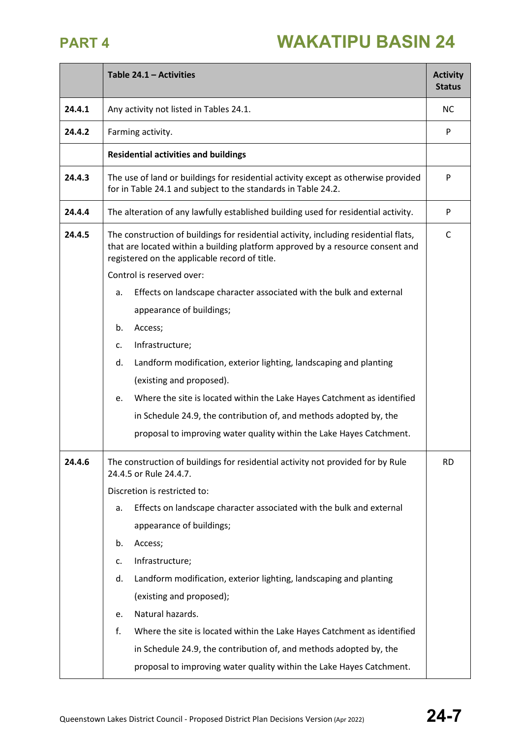|        | Table 24.1 - Activities                                                                                                                                                                                                 | <b>Activity</b><br><b>Status</b> |
|--------|-------------------------------------------------------------------------------------------------------------------------------------------------------------------------------------------------------------------------|----------------------------------|
| 24.4.1 | Any activity not listed in Tables 24.1.                                                                                                                                                                                 | <b>NC</b>                        |
| 24.4.2 | Farming activity.                                                                                                                                                                                                       | P                                |
|        | <b>Residential activities and buildings</b>                                                                                                                                                                             |                                  |
| 24.4.3 | The use of land or buildings for residential activity except as otherwise provided<br>for in Table 24.1 and subject to the standards in Table 24.2.                                                                     |                                  |
| 24.4.4 | The alteration of any lawfully established building used for residential activity.                                                                                                                                      | P                                |
| 24.4.5 | The construction of buildings for residential activity, including residential flats,<br>that are located within a building platform approved by a resource consent and<br>registered on the applicable record of title. |                                  |
|        | Control is reserved over:                                                                                                                                                                                               |                                  |
|        | Effects on landscape character associated with the bulk and external<br>a.                                                                                                                                              |                                  |
|        | appearance of buildings;                                                                                                                                                                                                |                                  |
|        | b.<br>Access;                                                                                                                                                                                                           |                                  |
|        | Infrastructure;<br>c.                                                                                                                                                                                                   |                                  |
|        | d.<br>Landform modification, exterior lighting, landscaping and planting                                                                                                                                                |                                  |
|        | (existing and proposed).                                                                                                                                                                                                |                                  |
|        | Where the site is located within the Lake Hayes Catchment as identified<br>e.                                                                                                                                           |                                  |
|        | in Schedule 24.9, the contribution of, and methods adopted by, the                                                                                                                                                      |                                  |
|        | proposal to improving water quality within the Lake Hayes Catchment.                                                                                                                                                    |                                  |
| 24.4.6 | The construction of buildings for residential activity not provided for by Rule<br>24.4.5 or Rule 24.4.7.                                                                                                               | <b>RD</b>                        |
|        | Discretion is restricted to:                                                                                                                                                                                            |                                  |
|        | Effects on landscape character associated with the bulk and external<br>a.                                                                                                                                              |                                  |
|        | appearance of buildings;                                                                                                                                                                                                |                                  |
|        | Access;<br>b.                                                                                                                                                                                                           |                                  |
|        | Infrastructure;<br>c.                                                                                                                                                                                                   |                                  |
|        | Landform modification, exterior lighting, landscaping and planting<br>d.                                                                                                                                                |                                  |
|        | (existing and proposed);                                                                                                                                                                                                |                                  |
|        | Natural hazards.<br>e.                                                                                                                                                                                                  |                                  |
|        | f.<br>Where the site is located within the Lake Hayes Catchment as identified                                                                                                                                           |                                  |
|        | in Schedule 24.9, the contribution of, and methods adopted by, the                                                                                                                                                      |                                  |
|        | proposal to improving water quality within the Lake Hayes Catchment.                                                                                                                                                    |                                  |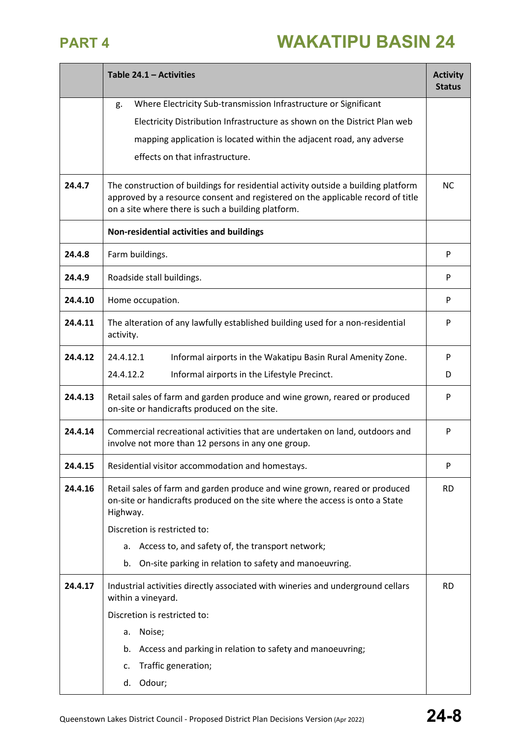|         | Table $24.1 -$ Activities                                                                                                                                                                                                   | <b>Activity</b><br><b>Status</b> |
|---------|-----------------------------------------------------------------------------------------------------------------------------------------------------------------------------------------------------------------------------|----------------------------------|
|         | Where Electricity Sub-transmission Infrastructure or Significant<br>g.                                                                                                                                                      |                                  |
|         | Electricity Distribution Infrastructure as shown on the District Plan web                                                                                                                                                   |                                  |
|         | mapping application is located within the adjacent road, any adverse                                                                                                                                                        |                                  |
|         | effects on that infrastructure.                                                                                                                                                                                             |                                  |
| 24.4.7  | The construction of buildings for residential activity outside a building platform<br>approved by a resource consent and registered on the applicable record of title<br>on a site where there is such a building platform. | <b>NC</b>                        |
|         | Non-residential activities and buildings                                                                                                                                                                                    |                                  |
| 24.4.8  | Farm buildings.                                                                                                                                                                                                             | P                                |
| 24.4.9  | Roadside stall buildings.                                                                                                                                                                                                   | P                                |
| 24.4.10 | Home occupation.                                                                                                                                                                                                            | P                                |
| 24.4.11 | The alteration of any lawfully established building used for a non-residential<br>activity.                                                                                                                                 | P                                |
| 24.4.12 | 24.4.12.1<br>Informal airports in the Wakatipu Basin Rural Amenity Zone.                                                                                                                                                    | P                                |
|         | 24.4.12.2<br>Informal airports in the Lifestyle Precinct.                                                                                                                                                                   | D                                |
| 24.4.13 | Retail sales of farm and garden produce and wine grown, reared or produced<br>on-site or handicrafts produced on the site.                                                                                                  | P                                |
| 24.4.14 | Commercial recreational activities that are undertaken on land, outdoors and<br>involve not more than 12 persons in any one group.                                                                                          | P                                |
| 24.4.15 | Residential visitor accommodation and homestays.                                                                                                                                                                            | P                                |
| 24.4.16 | Retail sales of farm and garden produce and wine grown, reared or produced<br>on-site or handicrafts produced on the site where the access is onto a State<br>Highway.<br>Discretion is restricted to:                      | <b>RD</b>                        |
|         | Access to, and safety of, the transport network;<br>a.                                                                                                                                                                      |                                  |
|         | On-site parking in relation to safety and manoeuvring.<br>b.                                                                                                                                                                |                                  |
| 24.4.17 | Industrial activities directly associated with wineries and underground cellars<br>within a vineyard.                                                                                                                       | <b>RD</b>                        |
|         | Discretion is restricted to:                                                                                                                                                                                                |                                  |
|         | Noise;<br>a.                                                                                                                                                                                                                |                                  |
|         | Access and parking in relation to safety and manoeuvring;<br>b.                                                                                                                                                             |                                  |
|         | Traffic generation;<br>c.                                                                                                                                                                                                   |                                  |
|         | Odour;<br>d.                                                                                                                                                                                                                |                                  |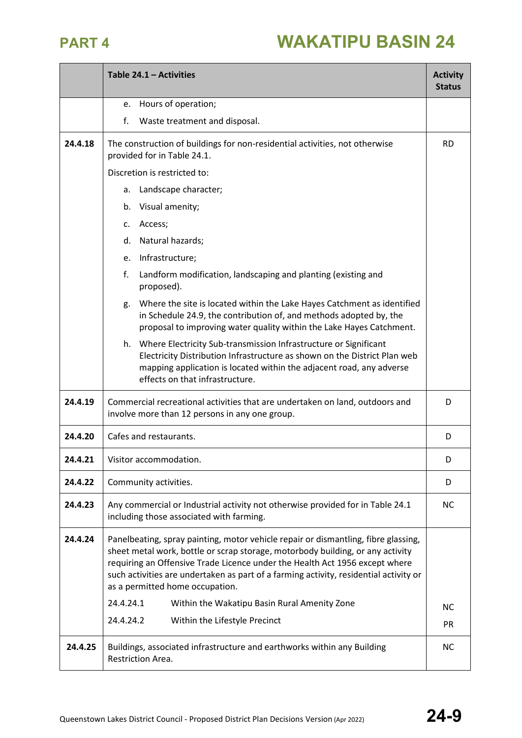|         | Table 24.1 - Activities                                                                                                                                                                                                                                                                                                                                                         | <b>Activity</b><br><b>Status</b> |
|---------|---------------------------------------------------------------------------------------------------------------------------------------------------------------------------------------------------------------------------------------------------------------------------------------------------------------------------------------------------------------------------------|----------------------------------|
|         | Hours of operation;<br>e.                                                                                                                                                                                                                                                                                                                                                       |                                  |
|         | f.<br>Waste treatment and disposal.                                                                                                                                                                                                                                                                                                                                             |                                  |
| 24.4.18 | The construction of buildings for non-residential activities, not otherwise<br>provided for in Table 24.1.                                                                                                                                                                                                                                                                      | <b>RD</b>                        |
|         | Discretion is restricted to:                                                                                                                                                                                                                                                                                                                                                    |                                  |
|         | Landscape character;<br>a.                                                                                                                                                                                                                                                                                                                                                      |                                  |
|         | Visual amenity;<br>b.                                                                                                                                                                                                                                                                                                                                                           |                                  |
|         | Access;<br>c.                                                                                                                                                                                                                                                                                                                                                                   |                                  |
|         | Natural hazards;<br>d.                                                                                                                                                                                                                                                                                                                                                          |                                  |
|         | Infrastructure;<br>e.                                                                                                                                                                                                                                                                                                                                                           |                                  |
|         | f.<br>Landform modification, landscaping and planting (existing and<br>proposed).                                                                                                                                                                                                                                                                                               |                                  |
|         | Where the site is located within the Lake Hayes Catchment as identified<br>g.<br>in Schedule 24.9, the contribution of, and methods adopted by, the<br>proposal to improving water quality within the Lake Hayes Catchment.                                                                                                                                                     |                                  |
|         | h. Where Electricity Sub-transmission Infrastructure or Significant<br>Electricity Distribution Infrastructure as shown on the District Plan web<br>mapping application is located within the adjacent road, any adverse<br>effects on that infrastructure.                                                                                                                     |                                  |
| 24.4.19 | Commercial recreational activities that are undertaken on land, outdoors and<br>involve more than 12 persons in any one group.                                                                                                                                                                                                                                                  | D                                |
| 24.4.20 | Cafes and restaurants.                                                                                                                                                                                                                                                                                                                                                          | D                                |
| 24.4.21 | Visitor accommodation.                                                                                                                                                                                                                                                                                                                                                          | D                                |
| 24.4.22 | Community activities.                                                                                                                                                                                                                                                                                                                                                           | D                                |
| 24.4.23 | Any commercial or Industrial activity not otherwise provided for in Table 24.1<br>including those associated with farming.                                                                                                                                                                                                                                                      | <b>NC</b>                        |
| 24.4.24 | Panelbeating, spray painting, motor vehicle repair or dismantling, fibre glassing,<br>sheet metal work, bottle or scrap storage, motorbody building, or any activity<br>requiring an Offensive Trade Licence under the Health Act 1956 except where<br>such activities are undertaken as part of a farming activity, residential activity or<br>as a permitted home occupation. |                                  |
|         | 24.4.24.1<br>Within the Wakatipu Basin Rural Amenity Zone                                                                                                                                                                                                                                                                                                                       | <b>NC</b>                        |
|         | 24.4.24.2<br>Within the Lifestyle Precinct                                                                                                                                                                                                                                                                                                                                      | <b>PR</b>                        |
| 24.4.25 | Buildings, associated infrastructure and earthworks within any Building<br>Restriction Area.                                                                                                                                                                                                                                                                                    | <b>NC</b>                        |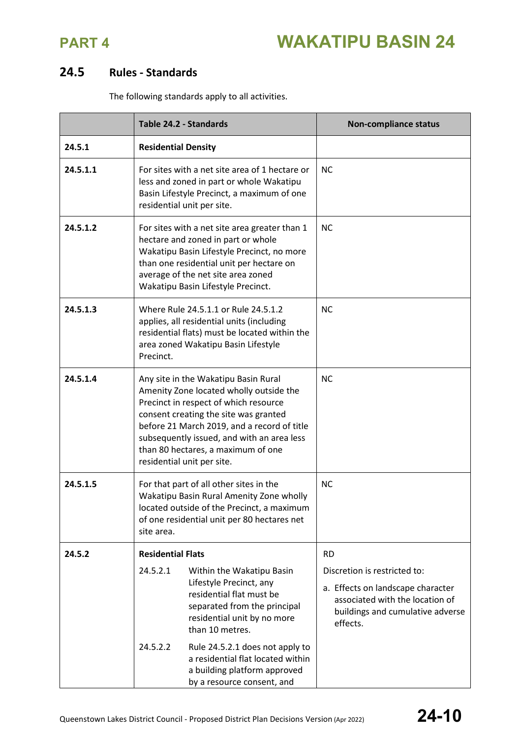

### **24.5 Rules - Standards**

The following standards apply to all activities.

|          | Table 24.2 - Standards                                                                                                                                                                                                                                                                                                             | <b>Non-compliance status</b>                                                                                                                         |
|----------|------------------------------------------------------------------------------------------------------------------------------------------------------------------------------------------------------------------------------------------------------------------------------------------------------------------------------------|------------------------------------------------------------------------------------------------------------------------------------------------------|
| 24.5.1   | <b>Residential Density</b>                                                                                                                                                                                                                                                                                                         |                                                                                                                                                      |
| 24.5.1.1 | For sites with a net site area of 1 hectare or<br>less and zoned in part or whole Wakatipu<br>Basin Lifestyle Precinct, a maximum of one<br>residential unit per site.                                                                                                                                                             | <b>NC</b>                                                                                                                                            |
| 24.5.1.2 | For sites with a net site area greater than 1<br>hectare and zoned in part or whole<br>Wakatipu Basin Lifestyle Precinct, no more<br>than one residential unit per hectare on<br>average of the net site area zoned<br>Wakatipu Basin Lifestyle Precinct.                                                                          | <b>NC</b>                                                                                                                                            |
| 24.5.1.3 | Where Rule 24.5.1.1 or Rule 24.5.1.2<br>applies, all residential units (including<br>residential flats) must be located within the<br>area zoned Wakatipu Basin Lifestyle<br>Precinct.                                                                                                                                             | <b>NC</b>                                                                                                                                            |
| 24.5.1.4 | Any site in the Wakatipu Basin Rural<br>Amenity Zone located wholly outside the<br>Precinct in respect of which resource<br>consent creating the site was granted<br>before 21 March 2019, and a record of title<br>subsequently issued, and with an area less<br>than 80 hectares, a maximum of one<br>residential unit per site. | <b>NC</b>                                                                                                                                            |
| 24.5.1.5 | For that part of all other sites in the<br>Wakatipu Basin Rural Amenity Zone wholly<br>located outside of the Precinct, a maximum<br>of one residential unit per 80 hectares net<br>site area.                                                                                                                                     | <b>NC</b>                                                                                                                                            |
| 24.5.2   | <b>Residential Flats</b>                                                                                                                                                                                                                                                                                                           | <b>RD</b>                                                                                                                                            |
|          | 24.5.2.1<br>Within the Wakatipu Basin<br>Lifestyle Precinct, any<br>residential flat must be<br>separated from the principal<br>residential unit by no more<br>than 10 metres.                                                                                                                                                     | Discretion is restricted to:<br>a. Effects on landscape character<br>associated with the location of<br>buildings and cumulative adverse<br>effects. |
|          | 24.5.2.2<br>Rule 24.5.2.1 does not apply to<br>a residential flat located within<br>a building platform approved<br>by a resource consent, and                                                                                                                                                                                     |                                                                                                                                                      |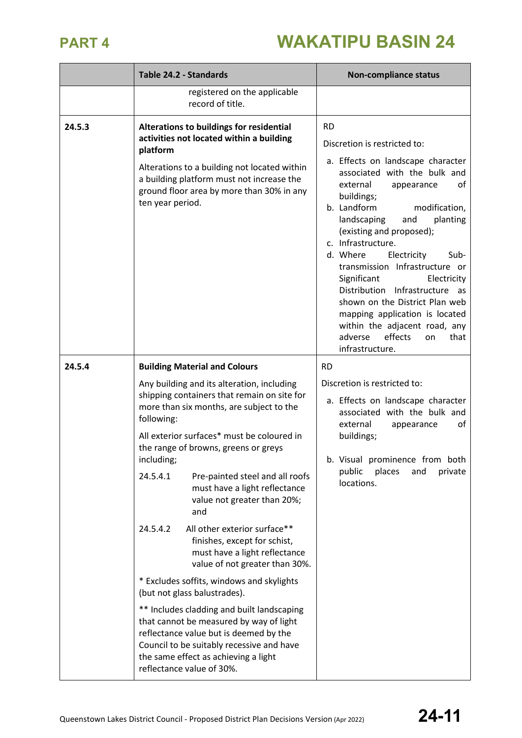|        | Table 24.2 - Standards                                                                                                                                                                                                                                                                                                                                                                                                                                                                                                                                                                                                                                                                                                                                                                                                                                                                                 | <b>Non-compliance status</b>                                                                                                                                                                                                                                                                                                                                                                                                                                                                                                                                                      |
|--------|--------------------------------------------------------------------------------------------------------------------------------------------------------------------------------------------------------------------------------------------------------------------------------------------------------------------------------------------------------------------------------------------------------------------------------------------------------------------------------------------------------------------------------------------------------------------------------------------------------------------------------------------------------------------------------------------------------------------------------------------------------------------------------------------------------------------------------------------------------------------------------------------------------|-----------------------------------------------------------------------------------------------------------------------------------------------------------------------------------------------------------------------------------------------------------------------------------------------------------------------------------------------------------------------------------------------------------------------------------------------------------------------------------------------------------------------------------------------------------------------------------|
|        | registered on the applicable<br>record of title.                                                                                                                                                                                                                                                                                                                                                                                                                                                                                                                                                                                                                                                                                                                                                                                                                                                       |                                                                                                                                                                                                                                                                                                                                                                                                                                                                                                                                                                                   |
| 24.5.3 | Alterations to buildings for residential<br>activities not located within a building<br>platform<br>Alterations to a building not located within<br>a building platform must not increase the<br>ground floor area by more than 30% in any<br>ten year period.                                                                                                                                                                                                                                                                                                                                                                                                                                                                                                                                                                                                                                         | <b>RD</b><br>Discretion is restricted to:<br>a. Effects on landscape character<br>associated with the bulk and<br>external<br>0f<br>appearance<br>buildings;<br>b. Landform<br>modification,<br>planting<br>landscaping<br>and<br>(existing and proposed);<br>c. Infrastructure.<br>d. Where<br>Electricity<br>Sub-<br>transmission Infrastructure or<br>Significant<br>Electricity<br>Distribution Infrastructure as<br>shown on the District Plan web<br>mapping application is located<br>within the adjacent road, any<br>adverse<br>effects<br>that<br>on<br>infrastructure. |
| 24.5.4 | <b>Building Material and Colours</b><br>Any building and its alteration, including<br>shipping containers that remain on site for<br>more than six months, are subject to the<br>following:<br>All exterior surfaces* must be coloured in<br>the range of browns, greens or greys<br>including;<br>24.5.4.1<br>Pre-painted steel and all roofs<br>must have a light reflectance<br>value not greater than 20%;<br>and<br>All other exterior surface**<br>24.5.4.2<br>finishes, except for schist,<br>must have a light reflectance<br>value of not greater than 30%.<br>* Excludes soffits, windows and skylights<br>(but not glass balustrades).<br>** Includes cladding and built landscaping<br>that cannot be measured by way of light<br>reflectance value but is deemed by the<br>Council to be suitably recessive and have<br>the same effect as achieving a light<br>reflectance value of 30%. | <b>RD</b><br>Discretion is restricted to:<br>a. Effects on landscape character<br>associated with the bulk and<br>external<br>of<br>appearance<br>buildings;<br>b. Visual prominence from both<br>public<br>places<br>private<br>and<br>locations.                                                                                                                                                                                                                                                                                                                                |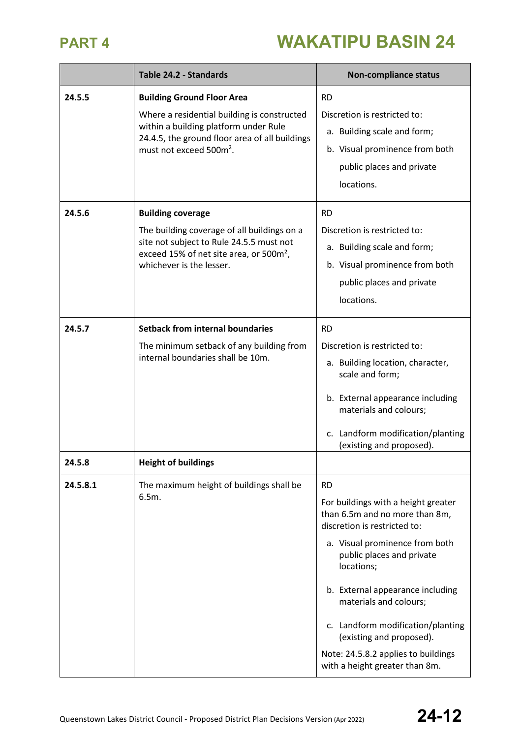|          | Table 24.2 - Standards                                                                                                                                                                                             | <b>Non-compliance status</b>                                                                                                                                                                                                                                                                                                                                                                            |
|----------|--------------------------------------------------------------------------------------------------------------------------------------------------------------------------------------------------------------------|---------------------------------------------------------------------------------------------------------------------------------------------------------------------------------------------------------------------------------------------------------------------------------------------------------------------------------------------------------------------------------------------------------|
| 24.5.5   | <b>Building Ground Floor Area</b><br>Where a residential building is constructed<br>within a building platform under Rule<br>24.4.5, the ground floor area of all buildings<br>must not exceed 500m <sup>2</sup> . | <b>RD</b><br>Discretion is restricted to:<br>a. Building scale and form;<br>b. Visual prominence from both<br>public places and private<br>locations.                                                                                                                                                                                                                                                   |
| 24.5.6   | <b>Building coverage</b><br>The building coverage of all buildings on a<br>site not subject to Rule 24.5.5 must not<br>exceed 15% of net site area, or 500m <sup>2</sup> ,<br>whichever is the lesser.             | <b>RD</b><br>Discretion is restricted to:<br>a. Building scale and form;<br>b. Visual prominence from both<br>public places and private<br>locations.                                                                                                                                                                                                                                                   |
| 24.5.7   | <b>Setback from internal boundaries</b><br>The minimum setback of any building from<br>internal boundaries shall be 10m.                                                                                           | <b>RD</b><br>Discretion is restricted to:<br>a. Building location, character,<br>scale and form;<br>b. External appearance including<br>materials and colours;<br>c. Landform modification/planting<br>(existing and proposed).                                                                                                                                                                         |
| 24.5.8   | <b>Height of buildings</b>                                                                                                                                                                                         |                                                                                                                                                                                                                                                                                                                                                                                                         |
| 24.5.8.1 | The maximum height of buildings shall be<br>6.5m.                                                                                                                                                                  | <b>RD</b><br>For buildings with a height greater<br>than 6.5m and no more than 8m,<br>discretion is restricted to:<br>a. Visual prominence from both<br>public places and private<br>locations;<br>b. External appearance including<br>materials and colours;<br>c. Landform modification/planting<br>(existing and proposed).<br>Note: 24.5.8.2 applies to buildings<br>with a height greater than 8m. |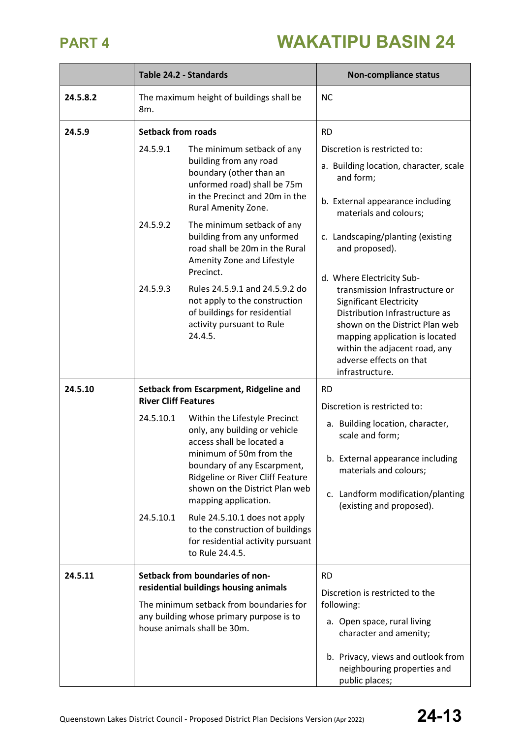|          | Table 24.2 - Standards                                                                                                                                                                         |                                                                                                                                                                                                                                                                                                                                                                                                                                                             | <b>Non-compliance status</b>                                                                                                                                                                                                                                                                                                                                                                                                                                                                                |
|----------|------------------------------------------------------------------------------------------------------------------------------------------------------------------------------------------------|-------------------------------------------------------------------------------------------------------------------------------------------------------------------------------------------------------------------------------------------------------------------------------------------------------------------------------------------------------------------------------------------------------------------------------------------------------------|-------------------------------------------------------------------------------------------------------------------------------------------------------------------------------------------------------------------------------------------------------------------------------------------------------------------------------------------------------------------------------------------------------------------------------------------------------------------------------------------------------------|
| 24.5.8.2 | The maximum height of buildings shall be<br>8m.                                                                                                                                                |                                                                                                                                                                                                                                                                                                                                                                                                                                                             | <b>NC</b>                                                                                                                                                                                                                                                                                                                                                                                                                                                                                                   |
| 24.5.9   | <b>Setback from roads</b><br>24.5.9.1<br>24.5.9.2<br>24.5.9.3                                                                                                                                  | The minimum setback of any<br>building from any road<br>boundary (other than an<br>unformed road) shall be 75m<br>in the Precinct and 20m in the<br>Rural Amenity Zone.<br>The minimum setback of any<br>building from any unformed<br>road shall be 20m in the Rural<br>Amenity Zone and Lifestyle<br>Precinct.<br>Rules 24.5.9.1 and 24.5.9.2 do<br>not apply to the construction<br>of buildings for residential<br>activity pursuant to Rule<br>24.4.5. | <b>RD</b><br>Discretion is restricted to:<br>a. Building location, character, scale<br>and form;<br>b. External appearance including<br>materials and colours;<br>c. Landscaping/planting (existing<br>and proposed).<br>d. Where Electricity Sub-<br>transmission Infrastructure or<br><b>Significant Electricity</b><br>Distribution Infrastructure as<br>shown on the District Plan web<br>mapping application is located<br>within the adjacent road, any<br>adverse effects on that<br>infrastructure. |
| 24.5.10  | <b>River Cliff Features</b><br>24.5.10.1<br>24.5.10.1                                                                                                                                          | Setback from Escarpment, Ridgeline and<br>Within the Lifestyle Precinct<br>only, any building or vehicle<br>access shall be located a<br>minimum of 50m from the<br>boundary of any Escarpment,<br>Ridgeline or River Cliff Feature<br>shown on the District Plan web<br>mapping application.<br>Rule 24.5.10.1 does not apply<br>to the construction of buildings<br>for residential activity pursuant<br>to Rule 24.4.5.                                  | <b>RD</b><br>Discretion is restricted to:<br>a. Building location, character,<br>scale and form;<br>b. External appearance including<br>materials and colours;<br>c. Landform modification/planting<br>(existing and proposed).                                                                                                                                                                                                                                                                             |
| 24.5.11  | Setback from boundaries of non-<br>residential buildings housing animals<br>The minimum setback from boundaries for<br>any building whose primary purpose is to<br>house animals shall be 30m. |                                                                                                                                                                                                                                                                                                                                                                                                                                                             | <b>RD</b><br>Discretion is restricted to the<br>following:<br>a. Open space, rural living<br>character and amenity;<br>b. Privacy, views and outlook from<br>neighbouring properties and<br>public places;                                                                                                                                                                                                                                                                                                  |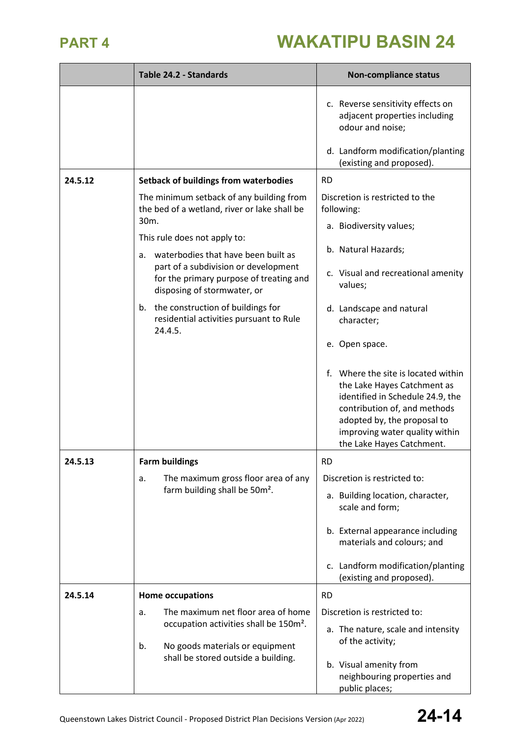|         | Table 24.2 - Standards                                                                     | <b>Non-compliance status</b>                                                                                                                                                                                                         |
|---------|--------------------------------------------------------------------------------------------|--------------------------------------------------------------------------------------------------------------------------------------------------------------------------------------------------------------------------------------|
|         |                                                                                            | c. Reverse sensitivity effects on<br>adjacent properties including<br>odour and noise;<br>d. Landform modification/planting                                                                                                          |
|         |                                                                                            | (existing and proposed).                                                                                                                                                                                                             |
| 24.5.12 | <b>Setback of buildings from waterbodies</b>                                               | <b>RD</b>                                                                                                                                                                                                                            |
|         | The minimum setback of any building from<br>the bed of a wetland, river or lake shall be   | Discretion is restricted to the<br>following:                                                                                                                                                                                        |
|         | 30 <sub>m</sub> .                                                                          | a. Biodiversity values;                                                                                                                                                                                                              |
|         | This rule does not apply to:                                                               | b. Natural Hazards;                                                                                                                                                                                                                  |
|         | waterbodies that have been built as<br>a.<br>part of a subdivision or development          |                                                                                                                                                                                                                                      |
|         | for the primary purpose of treating and<br>disposing of stormwater, or                     | c. Visual and recreational amenity<br>values;                                                                                                                                                                                        |
|         | b. the construction of buildings for<br>residential activities pursuant to Rule<br>24.4.5. | d. Landscape and natural<br>character;                                                                                                                                                                                               |
|         |                                                                                            | e. Open space.                                                                                                                                                                                                                       |
|         |                                                                                            | f. Where the site is located within<br>the Lake Hayes Catchment as<br>identified in Schedule 24.9, the<br>contribution of, and methods<br>adopted by, the proposal to<br>improving water quality within<br>the Lake Hayes Catchment. |
| 24.5.13 | <b>Farm buildings</b>                                                                      | <b>RD</b>                                                                                                                                                                                                                            |
|         | The maximum gross floor area of any<br>a.                                                  | Discretion is restricted to:                                                                                                                                                                                                         |
|         | farm building shall be 50m <sup>2</sup> .                                                  | a. Building location, character,<br>scale and form;                                                                                                                                                                                  |
|         |                                                                                            | b. External appearance including<br>materials and colours; and                                                                                                                                                                       |
|         |                                                                                            | c. Landform modification/planting<br>(existing and proposed).                                                                                                                                                                        |
| 24.5.14 | <b>Home occupations</b>                                                                    | <b>RD</b>                                                                                                                                                                                                                            |
|         | The maximum net floor area of home<br>a.                                                   | Discretion is restricted to:                                                                                                                                                                                                         |
|         | occupation activities shall be 150m <sup>2</sup> .                                         | a. The nature, scale and intensity<br>of the activity;                                                                                                                                                                               |
|         | No goods materials or equipment<br>b.<br>shall be stored outside a building.               |                                                                                                                                                                                                                                      |
|         |                                                                                            | b. Visual amenity from<br>neighbouring properties and                                                                                                                                                                                |
|         |                                                                                            | public places;                                                                                                                                                                                                                       |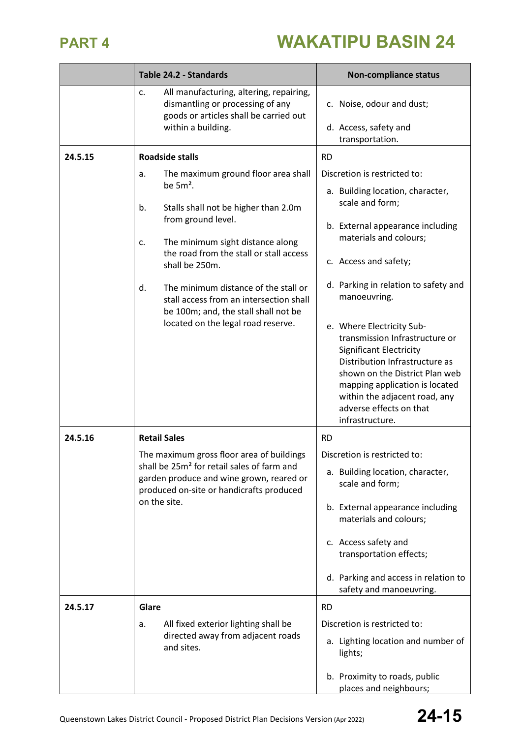|         | Table 24.2 - Standards                                                                                                                            | <b>Non-compliance status</b>                                                                                                                                                                                                                                                       |
|---------|---------------------------------------------------------------------------------------------------------------------------------------------------|------------------------------------------------------------------------------------------------------------------------------------------------------------------------------------------------------------------------------------------------------------------------------------|
|         | All manufacturing, altering, repairing,<br>c.<br>dismantling or processing of any<br>goods or articles shall be carried out<br>within a building. | c. Noise, odour and dust;<br>d. Access, safety and<br>transportation.                                                                                                                                                                                                              |
| 24.5.15 | <b>Roadside stalls</b>                                                                                                                            | <b>RD</b>                                                                                                                                                                                                                                                                          |
|         | The maximum ground floor area shall                                                                                                               | Discretion is restricted to:                                                                                                                                                                                                                                                       |
|         | a.<br>be $5m2$ .                                                                                                                                  | a. Building location, character,                                                                                                                                                                                                                                                   |
|         | Stalls shall not be higher than 2.0m<br>b.<br>from ground level.                                                                                  | scale and form;<br>b. External appearance including                                                                                                                                                                                                                                |
|         | The minimum sight distance along<br>c.<br>the road from the stall or stall access                                                                 | materials and colours;                                                                                                                                                                                                                                                             |
|         | shall be 250m.                                                                                                                                    | c. Access and safety;                                                                                                                                                                                                                                                              |
|         | The minimum distance of the stall or<br>d.<br>stall access from an intersection shall<br>be 100m; and, the stall shall not be                     | d. Parking in relation to safety and<br>manoeuvring.                                                                                                                                                                                                                               |
|         | located on the legal road reserve.                                                                                                                | e. Where Electricity Sub-<br>transmission Infrastructure or<br><b>Significant Electricity</b><br>Distribution Infrastructure as<br>shown on the District Plan web<br>mapping application is located<br>within the adjacent road, any<br>adverse effects on that<br>infrastructure. |
| 24.5.16 | <b>Retail Sales</b>                                                                                                                               | <b>RD</b>                                                                                                                                                                                                                                                                          |
|         | The maximum gross floor area of buildings                                                                                                         | Discretion is restricted to:                                                                                                                                                                                                                                                       |
|         | shall be 25m <sup>2</sup> for retail sales of farm and<br>garden produce and wine grown, reared or<br>produced on-site or handicrafts produced    | a. Building location, character,<br>scale and form;                                                                                                                                                                                                                                |
|         | on the site.                                                                                                                                      | b. External appearance including<br>materials and colours;                                                                                                                                                                                                                         |
|         |                                                                                                                                                   | c. Access safety and<br>transportation effects;                                                                                                                                                                                                                                    |
|         |                                                                                                                                                   | d. Parking and access in relation to<br>safety and manoeuvring.                                                                                                                                                                                                                    |
| 24.5.17 | Glare                                                                                                                                             | <b>RD</b>                                                                                                                                                                                                                                                                          |
|         | All fixed exterior lighting shall be<br>а.                                                                                                        | Discretion is restricted to:                                                                                                                                                                                                                                                       |
|         | directed away from adjacent roads<br>and sites.                                                                                                   | a. Lighting location and number of<br>lights;                                                                                                                                                                                                                                      |
|         |                                                                                                                                                   | b. Proximity to roads, public<br>places and neighbours;                                                                                                                                                                                                                            |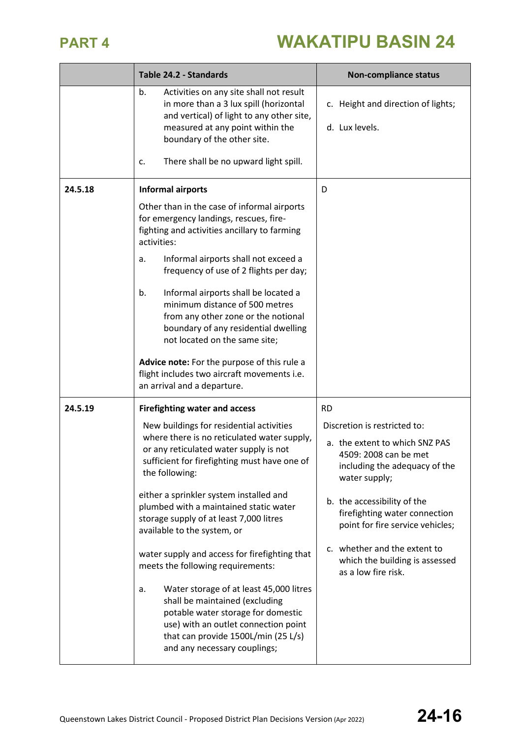|         | Table 24.2 - Standards                                                                                                                                                                                                               | <b>Non-compliance status</b>                                                                              |
|---------|--------------------------------------------------------------------------------------------------------------------------------------------------------------------------------------------------------------------------------------|-----------------------------------------------------------------------------------------------------------|
|         | b.<br>Activities on any site shall not result<br>in more than a 3 lux spill (horizontal<br>and vertical) of light to any other site,<br>measured at any point within the<br>boundary of the other site.                              | c. Height and direction of lights;<br>d. Lux levels.                                                      |
|         | There shall be no upward light spill.<br>c.                                                                                                                                                                                          |                                                                                                           |
| 24.5.18 | <b>Informal airports</b>                                                                                                                                                                                                             | D                                                                                                         |
|         | Other than in the case of informal airports<br>for emergency landings, rescues, fire-<br>fighting and activities ancillary to farming<br>activities:                                                                                 |                                                                                                           |
|         | Informal airports shall not exceed a<br>a.<br>frequency of use of 2 flights per day;                                                                                                                                                 |                                                                                                           |
|         | Informal airports shall be located a<br>b.<br>minimum distance of 500 metres<br>from any other zone or the notional<br>boundary of any residential dwelling<br>not located on the same site;                                         |                                                                                                           |
|         | Advice note: For the purpose of this rule a<br>flight includes two aircraft movements i.e.<br>an arrival and a departure.                                                                                                            |                                                                                                           |
| 24.5.19 | <b>Firefighting water and access</b>                                                                                                                                                                                                 | <b>RD</b>                                                                                                 |
|         | New buildings for residential activities<br>where there is no reticulated water supply,                                                                                                                                              | Discretion is restricted to:                                                                              |
|         | or any reticulated water supply is not<br>sufficient for firefighting must have one of<br>the following:                                                                                                                             | a. the extent to which SNZ PAS<br>4509: 2008 can be met<br>including the adequacy of the<br>water supply; |
|         | either a sprinkler system installed and<br>plumbed with a maintained static water<br>storage supply of at least 7,000 litres<br>available to the system, or                                                                          | b. the accessibility of the<br>firefighting water connection<br>point for fire service vehicles;          |
|         | water supply and access for firefighting that<br>meets the following requirements:                                                                                                                                                   | c. whether and the extent to<br>which the building is assessed<br>as a low fire risk.                     |
|         | Water storage of at least 45,000 litres<br>a.<br>shall be maintained (excluding<br>potable water storage for domestic<br>use) with an outlet connection point<br>that can provide 1500L/min (25 L/s)<br>and any necessary couplings; |                                                                                                           |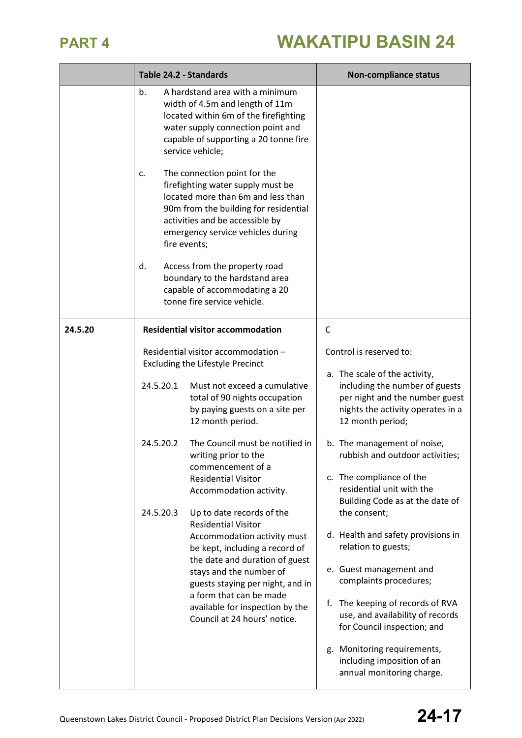|         | Table 24.2 - Standards              |                                                                                                                                                                                                                                                                                                                                                                                                                         | <b>Non-compliance status</b>                                                                                                                                                                                                                                                                                                                                             |
|---------|-------------------------------------|-------------------------------------------------------------------------------------------------------------------------------------------------------------------------------------------------------------------------------------------------------------------------------------------------------------------------------------------------------------------------------------------------------------------------|--------------------------------------------------------------------------------------------------------------------------------------------------------------------------------------------------------------------------------------------------------------------------------------------------------------------------------------------------------------------------|
|         | b.                                  | A hardstand area with a minimum<br>width of 4.5m and length of 11m<br>located within 6m of the firefighting<br>water supply connection point and<br>capable of supporting a 20 tonne fire<br>service vehicle;                                                                                                                                                                                                           |                                                                                                                                                                                                                                                                                                                                                                          |
|         | c.<br>fire events;<br>d.            | The connection point for the<br>firefighting water supply must be<br>located more than 6m and less than<br>90m from the building for residential<br>activities and be accessible by<br>emergency service vehicles during<br>Access from the property road<br>boundary to the hardstand area<br>capable of accommodating a 20<br>tonne fire service vehicle.                                                             |                                                                                                                                                                                                                                                                                                                                                                          |
|         |                                     |                                                                                                                                                                                                                                                                                                                                                                                                                         |                                                                                                                                                                                                                                                                                                                                                                          |
| 24.5.20 | 24.5.20.1<br>24.5.20.2<br>24.5.20.3 | <b>Residential visitor accommodation</b><br>Residential visitor accommodation -<br><b>Excluding the Lifestyle Precinct</b><br>Must not exceed a cumulative<br>total of 90 nights occupation<br>by paying guests on a site per<br>12 month period.<br>The Council must be notified in<br>writing prior to the<br>commencement of a<br><b>Residential Visitor</b><br>Accommodation activity.<br>Up to date records of the | C<br>Control is reserved to:<br>a. The scale of the activity,<br>including the number of guests<br>per night and the number guest<br>nights the activity operates in a<br>12 month period;<br>b. The management of noise,<br>rubbish and outdoor activities;<br>c. The compliance of the<br>residential unit with the<br>Building Code as at the date of<br>the consent; |
|         |                                     | <b>Residential Visitor</b><br>Accommodation activity must<br>be kept, including a record of<br>the date and duration of guest<br>stays and the number of<br>guests staying per night, and in<br>a form that can be made<br>available for inspection by the<br>Council at 24 hours' notice.                                                                                                                              | d. Health and safety provisions in<br>relation to guests;<br>e. Guest management and<br>complaints procedures;<br>The keeping of records of RVA<br>f.<br>use, and availability of records<br>for Council inspection; and<br>g. Monitoring requirements,<br>including imposition of an<br>annual monitoring charge.                                                       |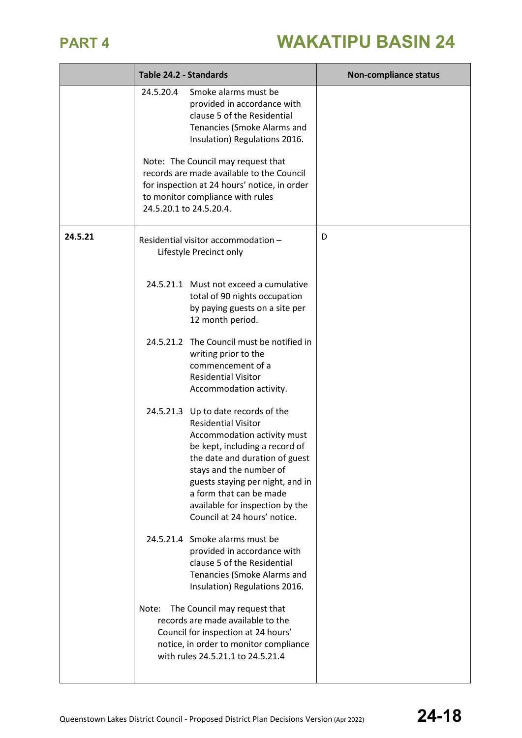|         | Table 24.2 - Standards                                                                                                                                                                                                                                                                                                            | <b>Non-compliance status</b> |
|---------|-----------------------------------------------------------------------------------------------------------------------------------------------------------------------------------------------------------------------------------------------------------------------------------------------------------------------------------|------------------------------|
|         | Smoke alarms must be<br>24.5.20.4<br>provided in accordance with<br>clause 5 of the Residential<br>Tenancies (Smoke Alarms and<br>Insulation) Regulations 2016.                                                                                                                                                                   |                              |
|         | Note: The Council may request that<br>records are made available to the Council<br>for inspection at 24 hours' notice, in order<br>to monitor compliance with rules<br>24.5.20.1 to 24.5.20.4.                                                                                                                                    |                              |
| 24.5.21 | Residential visitor accommodation -<br>Lifestyle Precinct only                                                                                                                                                                                                                                                                    | D                            |
|         | 24.5.21.1 Must not exceed a cumulative<br>total of 90 nights occupation<br>by paying guests on a site per<br>12 month period.                                                                                                                                                                                                     |                              |
|         | 24.5.21.2 The Council must be notified in<br>writing prior to the<br>commencement of a<br><b>Residential Visitor</b><br>Accommodation activity.                                                                                                                                                                                   |                              |
|         | 24.5.21.3 Up to date records of the<br><b>Residential Visitor</b><br>Accommodation activity must<br>be kept, including a record of<br>the date and duration of guest<br>stays and the number of<br>guests staying per night, and in<br>a form that can be made<br>available for inspection by the<br>Council at 24 hours' notice. |                              |
|         | 24.5.21.4 Smoke alarms must be<br>provided in accordance with<br>clause 5 of the Residential<br>Tenancies (Smoke Alarms and<br>Insulation) Regulations 2016.                                                                                                                                                                      |                              |
|         | The Council may request that<br>Note:<br>records are made available to the<br>Council for inspection at 24 hours'<br>notice, in order to monitor compliance<br>with rules 24.5.21.1 to 24.5.21.4                                                                                                                                  |                              |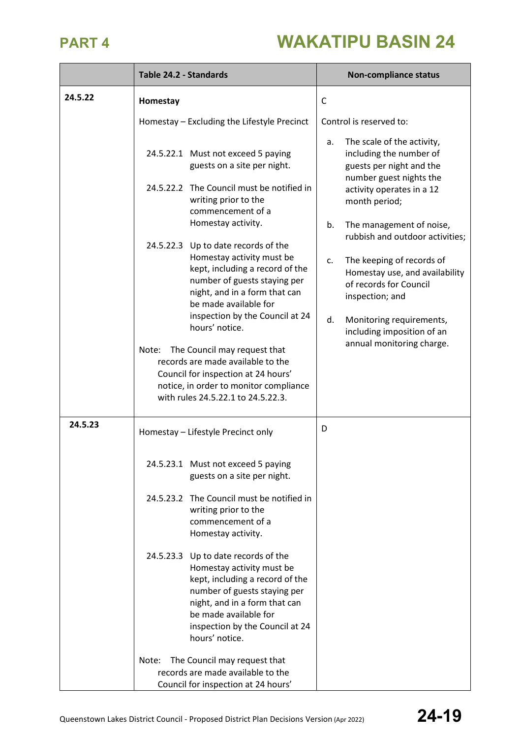|         | Table 24.2 - Standards                                                                                                                                                                                                                                                                                                                                                                                                                                  | <b>Non-compliance status</b>                                                                                                                                                                                                                                                     |
|---------|---------------------------------------------------------------------------------------------------------------------------------------------------------------------------------------------------------------------------------------------------------------------------------------------------------------------------------------------------------------------------------------------------------------------------------------------------------|----------------------------------------------------------------------------------------------------------------------------------------------------------------------------------------------------------------------------------------------------------------------------------|
| 24.5.22 | Homestay                                                                                                                                                                                                                                                                                                                                                                                                                                                | $\mathsf{C}$                                                                                                                                                                                                                                                                     |
|         | Homestay - Excluding the Lifestyle Precinct                                                                                                                                                                                                                                                                                                                                                                                                             | Control is reserved to:                                                                                                                                                                                                                                                          |
|         | 24.5.22.1 Must not exceed 5 paying<br>guests on a site per night.<br>24.5.22.2 The Council must be notified in<br>writing prior to the<br>commencement of a<br>Homestay activity.                                                                                                                                                                                                                                                                       | The scale of the activity,<br>a.<br>including the number of<br>guests per night and the<br>number guest nights the<br>activity operates in a 12<br>month period;                                                                                                                 |
|         | 24.5.22.3 Up to date records of the<br>Homestay activity must be<br>kept, including a record of the<br>number of guests staying per<br>night, and in a form that can<br>be made available for<br>inspection by the Council at 24<br>hours' notice.<br>The Council may request that<br>Note:<br>records are made available to the<br>Council for inspection at 24 hours'<br>notice, in order to monitor compliance<br>with rules 24.5.22.1 to 24.5.22.3. | The management of noise,<br>b.<br>rubbish and outdoor activities;<br>The keeping of records of<br>c.<br>Homestay use, and availability<br>of records for Council<br>inspection; and<br>Monitoring requirements,<br>d.<br>including imposition of an<br>annual monitoring charge. |
| 24.5.23 | Homestay - Lifestyle Precinct only                                                                                                                                                                                                                                                                                                                                                                                                                      | D                                                                                                                                                                                                                                                                                |
|         | 24.5.23.1 Must not exceed 5 paying<br>guests on a site per night.                                                                                                                                                                                                                                                                                                                                                                                       |                                                                                                                                                                                                                                                                                  |
|         | 24.5.23.2 The Council must be notified in<br>writing prior to the<br>commencement of a<br>Homestay activity.                                                                                                                                                                                                                                                                                                                                            |                                                                                                                                                                                                                                                                                  |
|         | 24.5.23.3 Up to date records of the<br>Homestay activity must be<br>kept, including a record of the<br>number of guests staying per<br>night, and in a form that can<br>be made available for<br>inspection by the Council at 24<br>hours' notice.                                                                                                                                                                                                      |                                                                                                                                                                                                                                                                                  |
|         | The Council may request that<br>Note:<br>records are made available to the<br>Council for inspection at 24 hours'                                                                                                                                                                                                                                                                                                                                       |                                                                                                                                                                                                                                                                                  |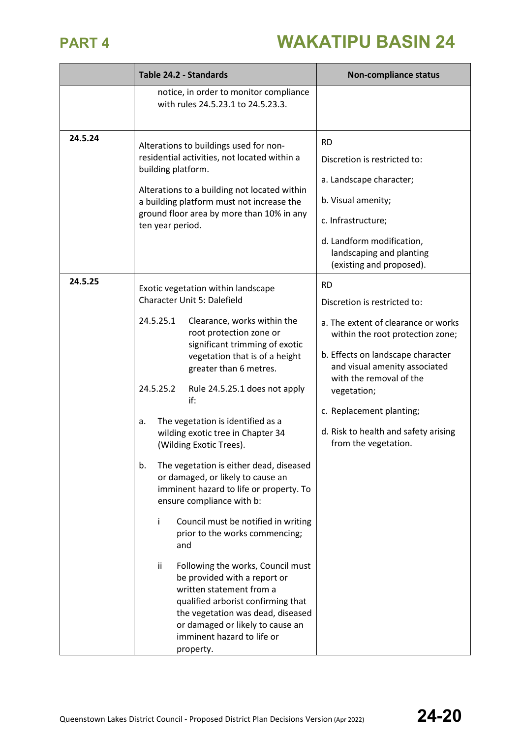|         | Table 24.2 - Standards                                                                                                                                                                                                                                                                                                                                                                                                                                                                                                                                                                                                                                                                                                                                                                                                                                                                                                       | <b>Non-compliance status</b>                                                                                                                                                                                                                                                                                                     |
|---------|------------------------------------------------------------------------------------------------------------------------------------------------------------------------------------------------------------------------------------------------------------------------------------------------------------------------------------------------------------------------------------------------------------------------------------------------------------------------------------------------------------------------------------------------------------------------------------------------------------------------------------------------------------------------------------------------------------------------------------------------------------------------------------------------------------------------------------------------------------------------------------------------------------------------------|----------------------------------------------------------------------------------------------------------------------------------------------------------------------------------------------------------------------------------------------------------------------------------------------------------------------------------|
|         | notice, in order to monitor compliance<br>with rules 24.5.23.1 to 24.5.23.3.                                                                                                                                                                                                                                                                                                                                                                                                                                                                                                                                                                                                                                                                                                                                                                                                                                                 |                                                                                                                                                                                                                                                                                                                                  |
| 24.5.24 | Alterations to buildings used for non-<br>residential activities, not located within a<br>building platform.<br>Alterations to a building not located within<br>a building platform must not increase the<br>ground floor area by more than 10% in any<br>ten year period.                                                                                                                                                                                                                                                                                                                                                                                                                                                                                                                                                                                                                                                   | <b>RD</b><br>Discretion is restricted to:<br>a. Landscape character;<br>b. Visual amenity;<br>c. Infrastructure;<br>d. Landform modification,<br>landscaping and planting<br>(existing and proposed).                                                                                                                            |
| 24.5.25 | Exotic vegetation within landscape<br>Character Unit 5: Dalefield<br>24.5.25.1<br>Clearance, works within the<br>root protection zone or<br>significant trimming of exotic<br>vegetation that is of a height<br>greater than 6 metres.<br>24.5.25.2<br>Rule 24.5.25.1 does not apply<br>if:<br>The vegetation is identified as a<br>a.<br>wilding exotic tree in Chapter 34<br>(Wilding Exotic Trees).<br>b.<br>The vegetation is either dead, diseased<br>or damaged, or likely to cause an<br>imminent hazard to life or property. To<br>ensure compliance with b:<br>Council must be notified in writing<br>Ĭ.<br>prior to the works commencing;<br>and<br>ij.<br>Following the works, Council must<br>be provided with a report or<br>written statement from a<br>qualified arborist confirming that<br>the vegetation was dead, diseased<br>or damaged or likely to cause an<br>imminent hazard to life or<br>property. | <b>RD</b><br>Discretion is restricted to:<br>a. The extent of clearance or works<br>within the root protection zone;<br>b. Effects on landscape character<br>and visual amenity associated<br>with the removal of the<br>vegetation;<br>c. Replacement planting;<br>d. Risk to health and safety arising<br>from the vegetation. |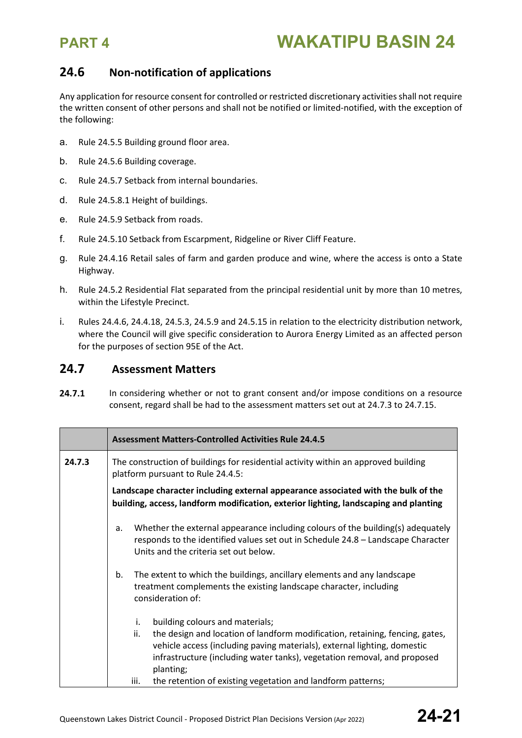### **24.6 Non-notification of applications**

Any application for resource consent for controlled or restricted discretionary activitiesshall not require the written consent of other persons and shall not be notified or limited-notified, with the exception of the following:

- a. Rule 24.5.5 Building ground floor area.
- b. Rule 24.5.6 Building coverage.
- c. Rule 24.5.7 Setback from internal boundaries.
- d. Rule 24.5.8.1 Height of buildings.
- e. Rule 24.5.9 Setback from roads.
- f. Rule 24.5.10 Setback from Escarpment, Ridgeline or River Cliff Feature.
- g. Rule 24.4.16 Retail sales of farm and garden produce and wine, where the access is onto a State Highway.
- h. Rule 24.5.2 Residential Flat separated from the principal residential unit by more than 10 metres, within the Lifestyle Precinct.
- i. Rules 24.4.6, 24.4.18, 24.5.3, 24.5.9 and 24.5.15 in relation to the electricity distribution network, where the Council will give specific consideration to Aurora Energy Limited as an affected person for the purposes of section 95E of the Act.

### **24.7 Assessment Matters**

24.7.1 In considering whether or not to grant consent and/or impose conditions on a resource consent, regard shall be had to the assessment matters set out at 24.7.3 to 24.7.15.

|        | <b>Assessment Matters-Controlled Activities Rule 24.4.5</b>                                                                                                                                                                                                                                                                                                              |  |  |
|--------|--------------------------------------------------------------------------------------------------------------------------------------------------------------------------------------------------------------------------------------------------------------------------------------------------------------------------------------------------------------------------|--|--|
| 24.7.3 | The construction of buildings for residential activity within an approved building<br>platform pursuant to Rule 24.4.5:                                                                                                                                                                                                                                                  |  |  |
|        | Landscape character including external appearance associated with the bulk of the<br>building, access, landform modification, exterior lighting, landscaping and planting                                                                                                                                                                                                |  |  |
|        | Whether the external appearance including colours of the building(s) adequately<br>a.<br>responds to the identified values set out in Schedule 24.8 - Landscape Character<br>Units and the criteria set out below.                                                                                                                                                       |  |  |
|        | The extent to which the buildings, ancillary elements and any landscape<br>b.<br>treatment complements the existing landscape character, including<br>consideration of:                                                                                                                                                                                                  |  |  |
|        | building colours and materials;<br>i.<br>the design and location of landform modification, retaining, fencing, gates,<br>ii.<br>vehicle access (including paving materials), external lighting, domestic<br>infrastructure (including water tanks), vegetation removal, and proposed<br>planting;<br>the retention of existing vegetation and landform patterns;<br>iii. |  |  |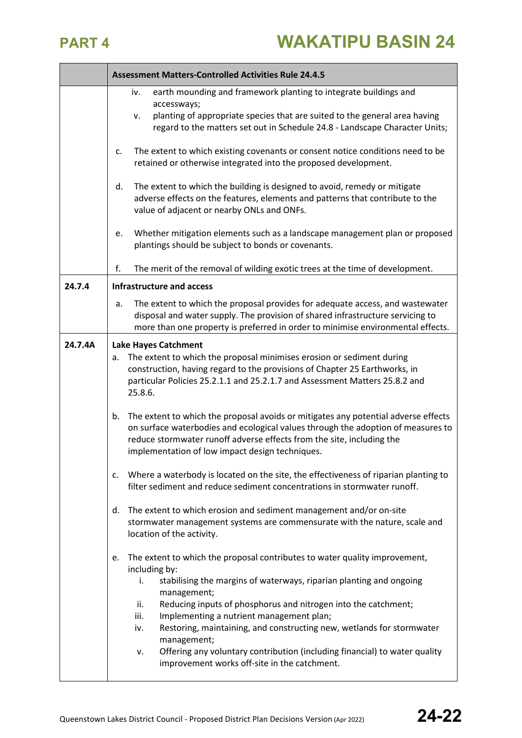|         | <b>Assessment Matters-Controlled Activities Rule 24.4.5</b>                                                                                                                                                                                                                                                                                                                                                                                                                                                                                                   |
|---------|---------------------------------------------------------------------------------------------------------------------------------------------------------------------------------------------------------------------------------------------------------------------------------------------------------------------------------------------------------------------------------------------------------------------------------------------------------------------------------------------------------------------------------------------------------------|
|         | earth mounding and framework planting to integrate buildings and<br>iv.<br>accessways;<br>planting of appropriate species that are suited to the general area having<br>٧.<br>regard to the matters set out in Schedule 24.8 - Landscape Character Units;                                                                                                                                                                                                                                                                                                     |
|         | The extent to which existing covenants or consent notice conditions need to be<br>c.<br>retained or otherwise integrated into the proposed development.                                                                                                                                                                                                                                                                                                                                                                                                       |
|         | The extent to which the building is designed to avoid, remedy or mitigate<br>d.<br>adverse effects on the features, elements and patterns that contribute to the<br>value of adjacent or nearby ONLs and ONFs.                                                                                                                                                                                                                                                                                                                                                |
|         | Whether mitigation elements such as a landscape management plan or proposed<br>e.<br>plantings should be subject to bonds or covenants.                                                                                                                                                                                                                                                                                                                                                                                                                       |
|         | f.<br>The merit of the removal of wilding exotic trees at the time of development.                                                                                                                                                                                                                                                                                                                                                                                                                                                                            |
| 24.7.4  | <b>Infrastructure and access</b>                                                                                                                                                                                                                                                                                                                                                                                                                                                                                                                              |
|         | The extent to which the proposal provides for adequate access, and wastewater<br>a.<br>disposal and water supply. The provision of shared infrastructure servicing to<br>more than one property is preferred in order to minimise environmental effects.                                                                                                                                                                                                                                                                                                      |
| 24.7.4A | <b>Lake Hayes Catchment</b>                                                                                                                                                                                                                                                                                                                                                                                                                                                                                                                                   |
|         | The extent to which the proposal minimises erosion or sediment during<br>a.<br>construction, having regard to the provisions of Chapter 25 Earthworks, in<br>particular Policies 25.2.1.1 and 25.2.1.7 and Assessment Matters 25.8.2 and<br>25.8.6.                                                                                                                                                                                                                                                                                                           |
|         | The extent to which the proposal avoids or mitigates any potential adverse effects<br>b.<br>on surface waterbodies and ecological values through the adoption of measures to<br>reduce stormwater runoff adverse effects from the site, including the<br>implementation of low impact design techniques.                                                                                                                                                                                                                                                      |
|         | Where a waterbody is located on the site, the effectiveness of riparian planting to<br>c.<br>filter sediment and reduce sediment concentrations in stormwater runoff.                                                                                                                                                                                                                                                                                                                                                                                         |
|         | The extent to which erosion and sediment management and/or on-site<br>d.<br>stormwater management systems are commensurate with the nature, scale and<br>location of the activity.                                                                                                                                                                                                                                                                                                                                                                            |
|         | The extent to which the proposal contributes to water quality improvement,<br>e.<br>including by:<br>stabilising the margins of waterways, riparian planting and ongoing<br>i.<br>management;<br>Reducing inputs of phosphorus and nitrogen into the catchment;<br>ii.<br>iii.<br>Implementing a nutrient management plan;<br>Restoring, maintaining, and constructing new, wetlands for stormwater<br>iv.<br>management;<br>Offering any voluntary contribution (including financial) to water quality<br>v.<br>improvement works off-site in the catchment. |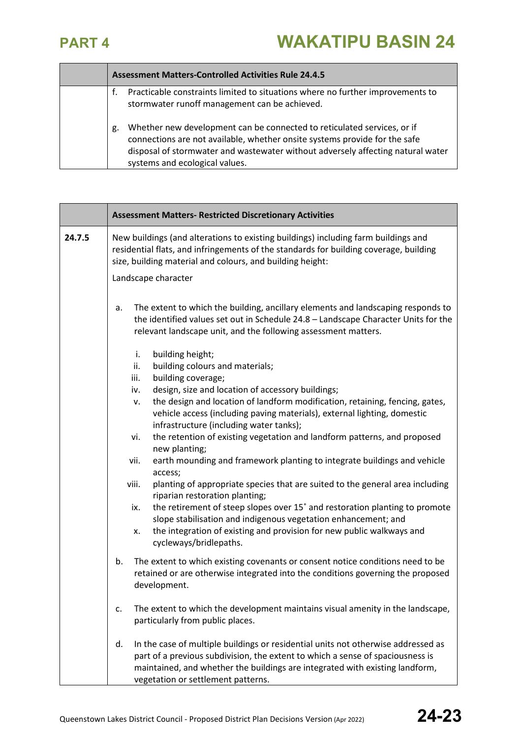г

┱

|    | <b>Assessment Matters-Controlled Activities Rule 24.4.5</b>                                                                                                                                                                                                                |
|----|----------------------------------------------------------------------------------------------------------------------------------------------------------------------------------------------------------------------------------------------------------------------------|
|    | Practicable constraints limited to situations where no further improvements to<br>stormwater runoff management can be achieved.                                                                                                                                            |
| g. | Whether new development can be connected to reticulated services, or if<br>connections are not available, whether onsite systems provide for the safe<br>disposal of stormwater and wastewater without adversely affecting natural water<br>systems and ecological values. |

|        | <b>Assessment Matters- Restricted Discretionary Activities</b>                                                                                                                                                                                                                                  |
|--------|-------------------------------------------------------------------------------------------------------------------------------------------------------------------------------------------------------------------------------------------------------------------------------------------------|
| 24.7.5 | New buildings (and alterations to existing buildings) including farm buildings and<br>residential flats, and infringements of the standards for building coverage, building<br>size, building material and colours, and building height:                                                        |
|        | Landscape character                                                                                                                                                                                                                                                                             |
|        | The extent to which the building, ancillary elements and landscaping responds to<br>a.<br>the identified values set out in Schedule 24.8 - Landscape Character Units for the<br>relevant landscape unit, and the following assessment matters.                                                  |
|        | i.<br>building height;                                                                                                                                                                                                                                                                          |
|        | building colours and materials;<br>ii.                                                                                                                                                                                                                                                          |
|        | building coverage;<br>iii.                                                                                                                                                                                                                                                                      |
|        | design, size and location of accessory buildings;<br>iv.                                                                                                                                                                                                                                        |
|        | the design and location of landform modification, retaining, fencing, gates,<br>٧.<br>vehicle access (including paving materials), external lighting, domestic                                                                                                                                  |
|        | infrastructure (including water tanks);<br>the retention of existing vegetation and landform patterns, and proposed<br>vi.                                                                                                                                                                      |
|        | new planting;                                                                                                                                                                                                                                                                                   |
|        | earth mounding and framework planting to integrate buildings and vehicle<br>vii.<br>access;                                                                                                                                                                                                     |
|        | planting of appropriate species that are suited to the general area including<br>viii.<br>riparian restoration planting;                                                                                                                                                                        |
|        | the retirement of steep slopes over 15° and restoration planting to promote<br>ix.<br>slope stabilisation and indigenous vegetation enhancement; and                                                                                                                                            |
|        | the integration of existing and provision for new public walkways and<br>x.<br>cycleways/bridlepaths.                                                                                                                                                                                           |
|        | The extent to which existing covenants or consent notice conditions need to be<br>b.<br>retained or are otherwise integrated into the conditions governing the proposed<br>development.                                                                                                         |
|        | The extent to which the development maintains visual amenity in the landscape,<br>c.<br>particularly from public places.                                                                                                                                                                        |
|        | In the case of multiple buildings or residential units not otherwise addressed as<br>d.<br>part of a previous subdivision, the extent to which a sense of spaciousness is<br>maintained, and whether the buildings are integrated with existing landform,<br>vegetation or settlement patterns. |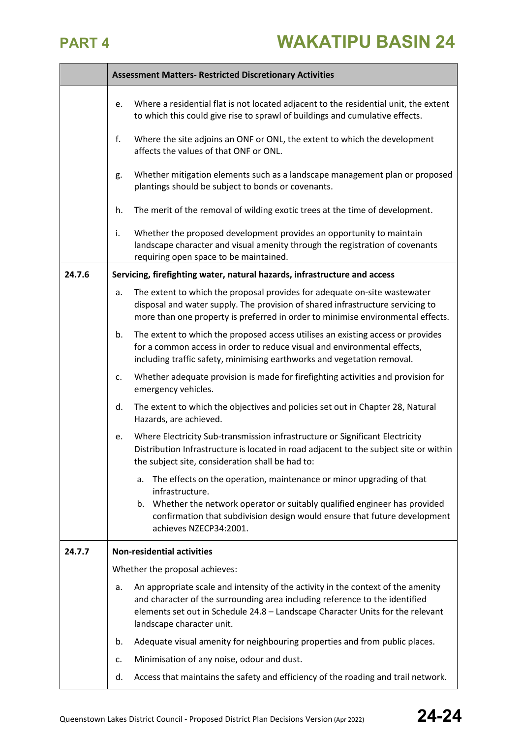|        | <b>Assessment Matters- Restricted Discretionary Activities</b> |                                                                                                                                                                                                                                                                                |  |
|--------|----------------------------------------------------------------|--------------------------------------------------------------------------------------------------------------------------------------------------------------------------------------------------------------------------------------------------------------------------------|--|
|        | e.                                                             | Where a residential flat is not located adjacent to the residential unit, the extent<br>to which this could give rise to sprawl of buildings and cumulative effects.                                                                                                           |  |
|        | f.                                                             | Where the site adjoins an ONF or ONL, the extent to which the development<br>affects the values of that ONF or ONL.                                                                                                                                                            |  |
|        | g.                                                             | Whether mitigation elements such as a landscape management plan or proposed<br>plantings should be subject to bonds or covenants.                                                                                                                                              |  |
|        | h.                                                             | The merit of the removal of wilding exotic trees at the time of development.                                                                                                                                                                                                   |  |
|        | i.                                                             | Whether the proposed development provides an opportunity to maintain<br>landscape character and visual amenity through the registration of covenants<br>requiring open space to be maintained.                                                                                 |  |
| 24.7.6 |                                                                | Servicing, firefighting water, natural hazards, infrastructure and access                                                                                                                                                                                                      |  |
|        | a.                                                             | The extent to which the proposal provides for adequate on-site wastewater<br>disposal and water supply. The provision of shared infrastructure servicing to<br>more than one property is preferred in order to minimise environmental effects.                                 |  |
|        | b.                                                             | The extent to which the proposed access utilises an existing access or provides<br>for a common access in order to reduce visual and environmental effects,<br>including traffic safety, minimising earthworks and vegetation removal.                                         |  |
|        | c.                                                             | Whether adequate provision is made for firefighting activities and provision for<br>emergency vehicles.                                                                                                                                                                        |  |
|        | d.                                                             | The extent to which the objectives and policies set out in Chapter 28, Natural<br>Hazards, are achieved.                                                                                                                                                                       |  |
|        | e.                                                             | Where Electricity Sub-transmission infrastructure or Significant Electricity<br>Distribution Infrastructure is located in road adjacent to the subject site or within<br>the subject site, consideration shall be had to:                                                      |  |
|        |                                                                | The effects on the operation, maintenance or minor upgrading of that<br>a.<br>infrastructure.                                                                                                                                                                                  |  |
|        |                                                                | b. Whether the network operator or suitably qualified engineer has provided<br>confirmation that subdivision design would ensure that future development<br>achieves NZECP34:2001.                                                                                             |  |
| 24.7.7 | <b>Non-residential activities</b>                              |                                                                                                                                                                                                                                                                                |  |
|        |                                                                | Whether the proposal achieves:                                                                                                                                                                                                                                                 |  |
|        | a.                                                             | An appropriate scale and intensity of the activity in the context of the amenity<br>and character of the surrounding area including reference to the identified<br>elements set out in Schedule 24.8 - Landscape Character Units for the relevant<br>landscape character unit. |  |
|        | b.                                                             | Adequate visual amenity for neighbouring properties and from public places.                                                                                                                                                                                                    |  |
|        | c.                                                             | Minimisation of any noise, odour and dust.                                                                                                                                                                                                                                     |  |
|        | d.                                                             | Access that maintains the safety and efficiency of the roading and trail network.                                                                                                                                                                                              |  |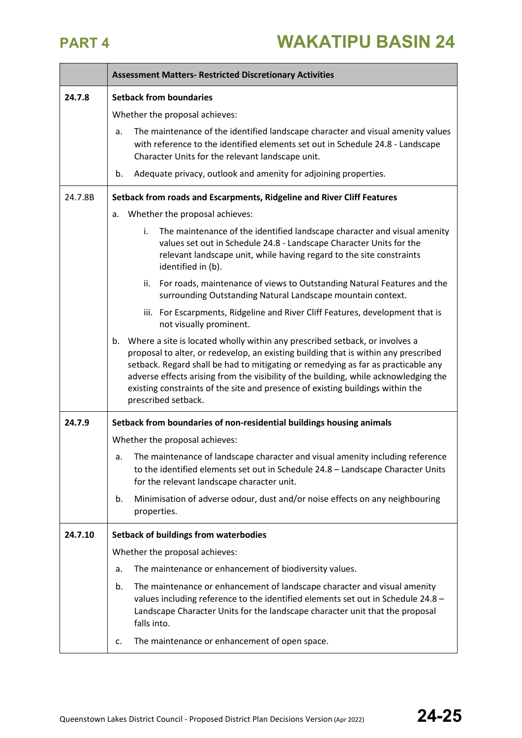|         | <b>Assessment Matters- Restricted Discretionary Activities</b>                                                                                                                                                                                                                                                                                                                                                                                                 |  |  |
|---------|----------------------------------------------------------------------------------------------------------------------------------------------------------------------------------------------------------------------------------------------------------------------------------------------------------------------------------------------------------------------------------------------------------------------------------------------------------------|--|--|
| 24.7.8  | <b>Setback from boundaries</b>                                                                                                                                                                                                                                                                                                                                                                                                                                 |  |  |
|         | Whether the proposal achieves:                                                                                                                                                                                                                                                                                                                                                                                                                                 |  |  |
|         | The maintenance of the identified landscape character and visual amenity values<br>a.<br>with reference to the identified elements set out in Schedule 24.8 - Landscape<br>Character Units for the relevant landscape unit.                                                                                                                                                                                                                                    |  |  |
|         | Adequate privacy, outlook and amenity for adjoining properties.<br>b.                                                                                                                                                                                                                                                                                                                                                                                          |  |  |
| 24.7.8B | Setback from roads and Escarpments, Ridgeline and River Cliff Features                                                                                                                                                                                                                                                                                                                                                                                         |  |  |
|         | Whether the proposal achieves:<br>a.                                                                                                                                                                                                                                                                                                                                                                                                                           |  |  |
|         | The maintenance of the identified landscape character and visual amenity<br>i.<br>values set out in Schedule 24.8 - Landscape Character Units for the<br>relevant landscape unit, while having regard to the site constraints<br>identified in (b).                                                                                                                                                                                                            |  |  |
|         | For roads, maintenance of views to Outstanding Natural Features and the<br>ii.<br>surrounding Outstanding Natural Landscape mountain context.                                                                                                                                                                                                                                                                                                                  |  |  |
|         | iii. For Escarpments, Ridgeline and River Cliff Features, development that is<br>not visually prominent.                                                                                                                                                                                                                                                                                                                                                       |  |  |
|         | Where a site is located wholly within any prescribed setback, or involves a<br>b.<br>proposal to alter, or redevelop, an existing building that is within any prescribed<br>setback. Regard shall be had to mitigating or remedying as far as practicable any<br>adverse effects arising from the visibility of the building, while acknowledging the<br>existing constraints of the site and presence of existing buildings within the<br>prescribed setback. |  |  |
| 24.7.9  | Setback from boundaries of non-residential buildings housing animals                                                                                                                                                                                                                                                                                                                                                                                           |  |  |
|         | Whether the proposal achieves:                                                                                                                                                                                                                                                                                                                                                                                                                                 |  |  |
|         | The maintenance of landscape character and visual amenity including reference<br>а.<br>to the identified elements set out in Schedule 24.8 - Landscape Character Units<br>for the relevant landscape character unit.                                                                                                                                                                                                                                           |  |  |
|         | Minimisation of adverse odour, dust and/or noise effects on any neighbouring<br>b.<br>properties.                                                                                                                                                                                                                                                                                                                                                              |  |  |
| 24.7.10 | <b>Setback of buildings from waterbodies</b>                                                                                                                                                                                                                                                                                                                                                                                                                   |  |  |
|         | Whether the proposal achieves:                                                                                                                                                                                                                                                                                                                                                                                                                                 |  |  |
|         | The maintenance or enhancement of biodiversity values.<br>a.                                                                                                                                                                                                                                                                                                                                                                                                   |  |  |
|         | The maintenance or enhancement of landscape character and visual amenity<br>b.<br>values including reference to the identified elements set out in Schedule 24.8 -<br>Landscape Character Units for the landscape character unit that the proposal<br>falls into.                                                                                                                                                                                              |  |  |
|         | The maintenance or enhancement of open space.<br>c.                                                                                                                                                                                                                                                                                                                                                                                                            |  |  |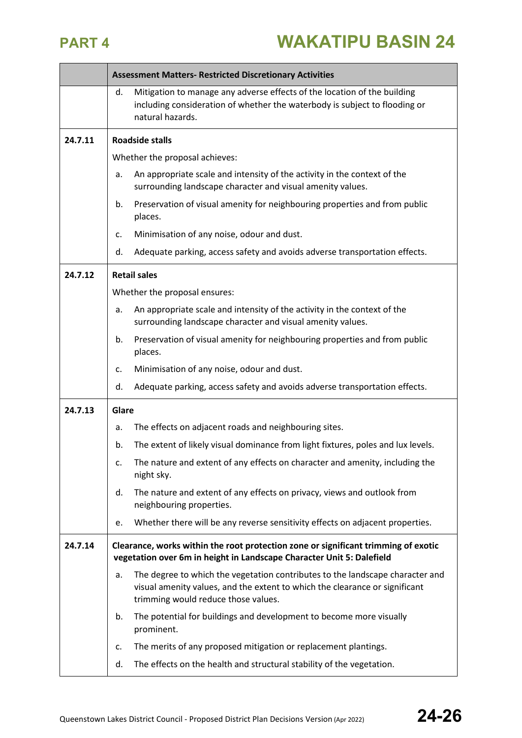|         | <b>Assessment Matters- Restricted Discretionary Activities</b>                                                                                              |                                                                                                                                                                                                     |  |
|---------|-------------------------------------------------------------------------------------------------------------------------------------------------------------|-----------------------------------------------------------------------------------------------------------------------------------------------------------------------------------------------------|--|
|         | d.                                                                                                                                                          | Mitigation to manage any adverse effects of the location of the building<br>including consideration of whether the waterbody is subject to flooding or<br>natural hazards.                          |  |
| 24.7.11 |                                                                                                                                                             | <b>Roadside stalls</b>                                                                                                                                                                              |  |
|         |                                                                                                                                                             | Whether the proposal achieves:                                                                                                                                                                      |  |
|         | a.                                                                                                                                                          | An appropriate scale and intensity of the activity in the context of the<br>surrounding landscape character and visual amenity values.                                                              |  |
|         | b.                                                                                                                                                          | Preservation of visual amenity for neighbouring properties and from public<br>places.                                                                                                               |  |
|         | c.                                                                                                                                                          | Minimisation of any noise, odour and dust.                                                                                                                                                          |  |
|         | d.                                                                                                                                                          | Adequate parking, access safety and avoids adverse transportation effects.                                                                                                                          |  |
| 24.7.12 |                                                                                                                                                             | <b>Retail sales</b>                                                                                                                                                                                 |  |
|         |                                                                                                                                                             | Whether the proposal ensures:                                                                                                                                                                       |  |
|         | a.                                                                                                                                                          | An appropriate scale and intensity of the activity in the context of the<br>surrounding landscape character and visual amenity values.                                                              |  |
|         | b.                                                                                                                                                          | Preservation of visual amenity for neighbouring properties and from public<br>places.                                                                                                               |  |
|         | c.                                                                                                                                                          | Minimisation of any noise, odour and dust.                                                                                                                                                          |  |
|         | d.                                                                                                                                                          | Adequate parking, access safety and avoids adverse transportation effects.                                                                                                                          |  |
| 24.7.13 | Glare                                                                                                                                                       |                                                                                                                                                                                                     |  |
|         | a.                                                                                                                                                          | The effects on adjacent roads and neighbouring sites.                                                                                                                                               |  |
|         | b.                                                                                                                                                          | The extent of likely visual dominance from light fixtures, poles and lux levels.                                                                                                                    |  |
|         | c.                                                                                                                                                          | The nature and extent of any effects on character and amenity, including the<br>night sky.                                                                                                          |  |
|         | d.                                                                                                                                                          | The nature and extent of any effects on privacy, views and outlook from<br>neighbouring properties.                                                                                                 |  |
|         | e.                                                                                                                                                          | Whether there will be any reverse sensitivity effects on adjacent properties.                                                                                                                       |  |
| 24.7.14 | Clearance, works within the root protection zone or significant trimming of exotic<br>vegetation over 6m in height in Landscape Character Unit 5: Dalefield |                                                                                                                                                                                                     |  |
|         | a.                                                                                                                                                          | The degree to which the vegetation contributes to the landscape character and<br>visual amenity values, and the extent to which the clearance or significant<br>trimming would reduce those values. |  |
|         | b.                                                                                                                                                          | The potential for buildings and development to become more visually<br>prominent.                                                                                                                   |  |
|         | c.                                                                                                                                                          | The merits of any proposed mitigation or replacement plantings.                                                                                                                                     |  |
|         | d.                                                                                                                                                          | The effects on the health and structural stability of the vegetation.                                                                                                                               |  |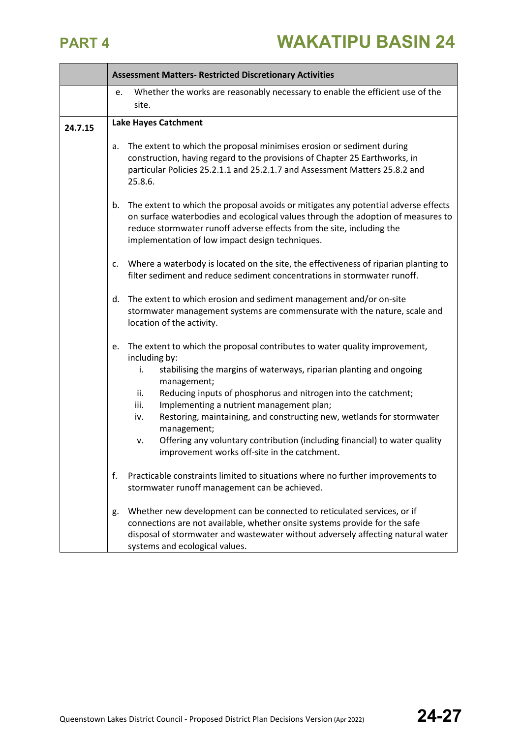|         | <b>Assessment Matters- Restricted Discretionary Activities</b>                                                                                                                                                                                                                                                                                                                                                                                                                                                                                                |
|---------|---------------------------------------------------------------------------------------------------------------------------------------------------------------------------------------------------------------------------------------------------------------------------------------------------------------------------------------------------------------------------------------------------------------------------------------------------------------------------------------------------------------------------------------------------------------|
|         | Whether the works are reasonably necessary to enable the efficient use of the<br>e.                                                                                                                                                                                                                                                                                                                                                                                                                                                                           |
|         | site.                                                                                                                                                                                                                                                                                                                                                                                                                                                                                                                                                         |
| 24.7.15 | <b>Lake Hayes Catchment</b>                                                                                                                                                                                                                                                                                                                                                                                                                                                                                                                                   |
|         | The extent to which the proposal minimises erosion or sediment during<br>a.<br>construction, having regard to the provisions of Chapter 25 Earthworks, in<br>particular Policies 25.2.1.1 and 25.2.1.7 and Assessment Matters 25.8.2 and<br>25.8.6.                                                                                                                                                                                                                                                                                                           |
|         | The extent to which the proposal avoids or mitigates any potential adverse effects<br>b.<br>on surface waterbodies and ecological values through the adoption of measures to<br>reduce stormwater runoff adverse effects from the site, including the<br>implementation of low impact design techniques.                                                                                                                                                                                                                                                      |
|         | Where a waterbody is located on the site, the effectiveness of riparian planting to<br>c.<br>filter sediment and reduce sediment concentrations in stormwater runoff.                                                                                                                                                                                                                                                                                                                                                                                         |
|         | The extent to which erosion and sediment management and/or on-site<br>d.<br>stormwater management systems are commensurate with the nature, scale and<br>location of the activity.                                                                                                                                                                                                                                                                                                                                                                            |
|         | The extent to which the proposal contributes to water quality improvement,<br>e.<br>including by:<br>stabilising the margins of waterways, riparian planting and ongoing<br>i.<br>management;<br>Reducing inputs of phosphorus and nitrogen into the catchment;<br>ii.<br>Implementing a nutrient management plan;<br>iii.<br>Restoring, maintaining, and constructing new, wetlands for stormwater<br>iv.<br>management;<br>Offering any voluntary contribution (including financial) to water quality<br>v.<br>improvement works off-site in the catchment. |
|         | f.<br>Practicable constraints limited to situations where no further improvements to<br>stormwater runoff management can be achieved.                                                                                                                                                                                                                                                                                                                                                                                                                         |
|         | Whether new development can be connected to reticulated services, or if<br>g.<br>connections are not available, whether onsite systems provide for the safe<br>disposal of stormwater and wastewater without adversely affecting natural water<br>systems and ecological values.                                                                                                                                                                                                                                                                              |